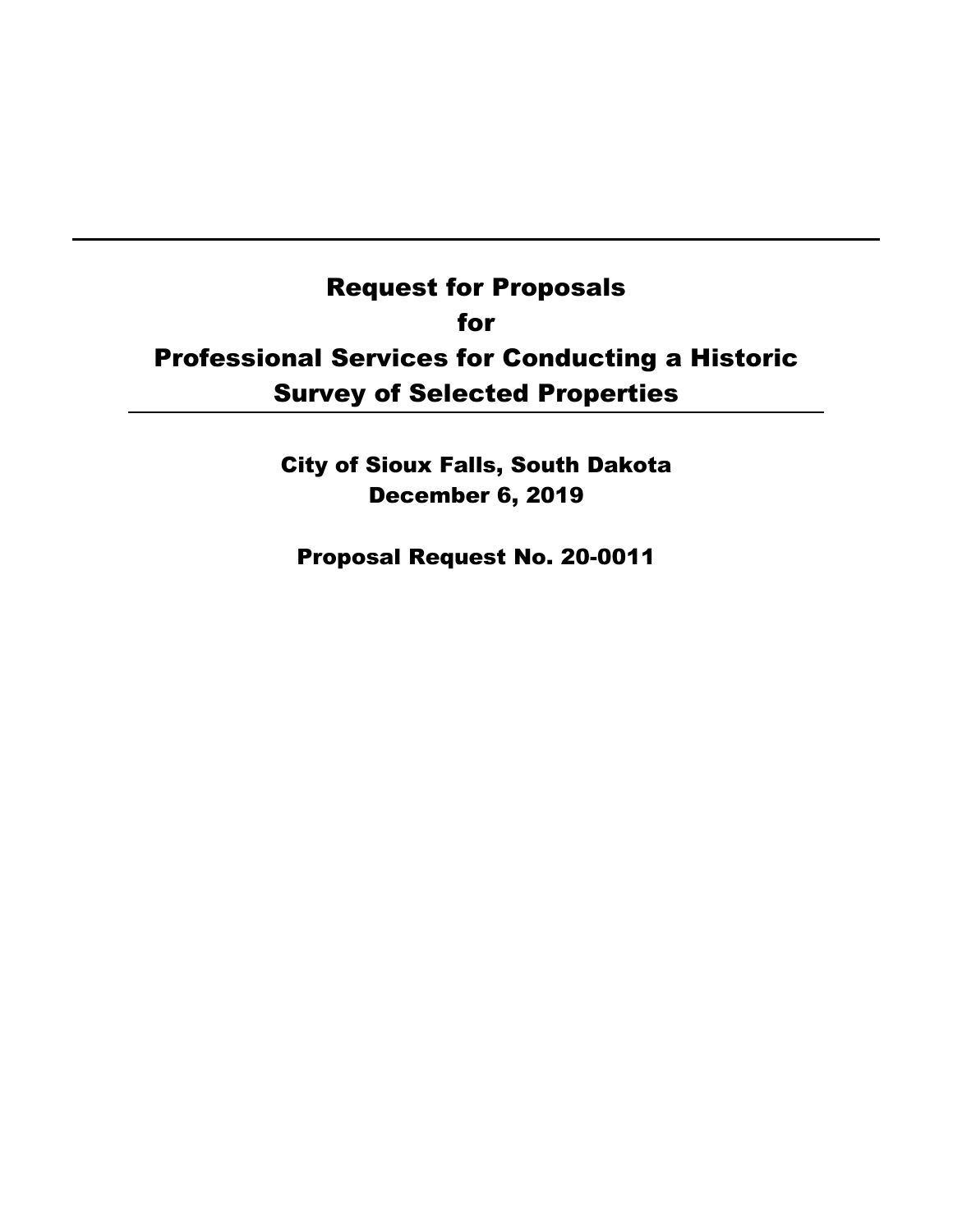# Request for Proposals for Professional Services for Conducting a Historic Survey of Selected Properties

City of Sioux Falls, South Dakota December 6, 2019

Proposal Request No. 20-0011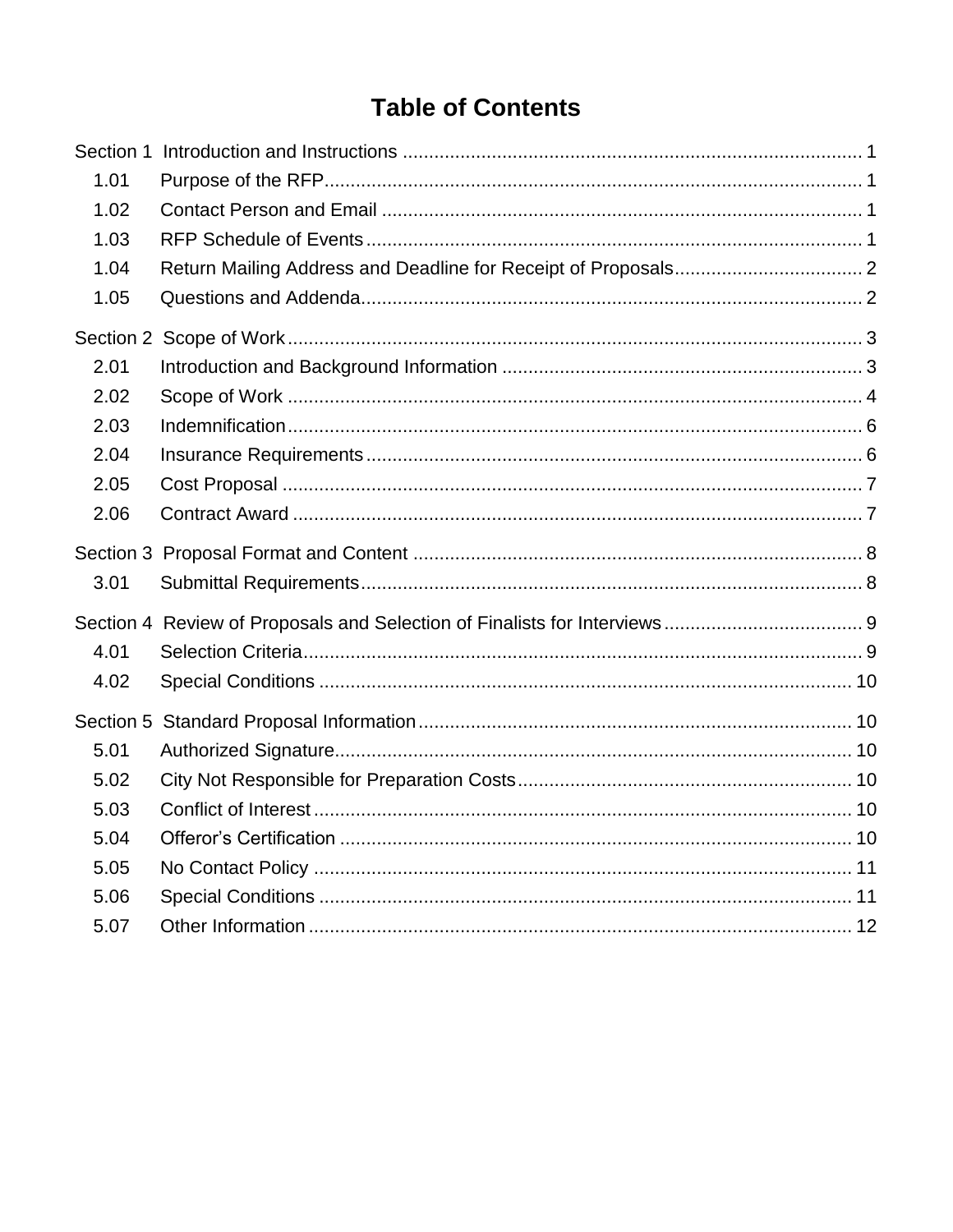# **Table of Contents**

| 1.01 |  |
|------|--|
| 1.02 |  |
| 1.03 |  |
| 1.04 |  |
| 1.05 |  |
|      |  |
| 2.01 |  |
| 2.02 |  |
| 2.03 |  |
| 2.04 |  |
| 2.05 |  |
| 2.06 |  |
|      |  |
| 3.01 |  |
|      |  |
| 4.01 |  |
| 4.02 |  |
|      |  |
| 5.01 |  |
| 5.02 |  |
| 5.03 |  |
| 5.04 |  |
| 5.05 |  |
| 5.06 |  |
| 5.07 |  |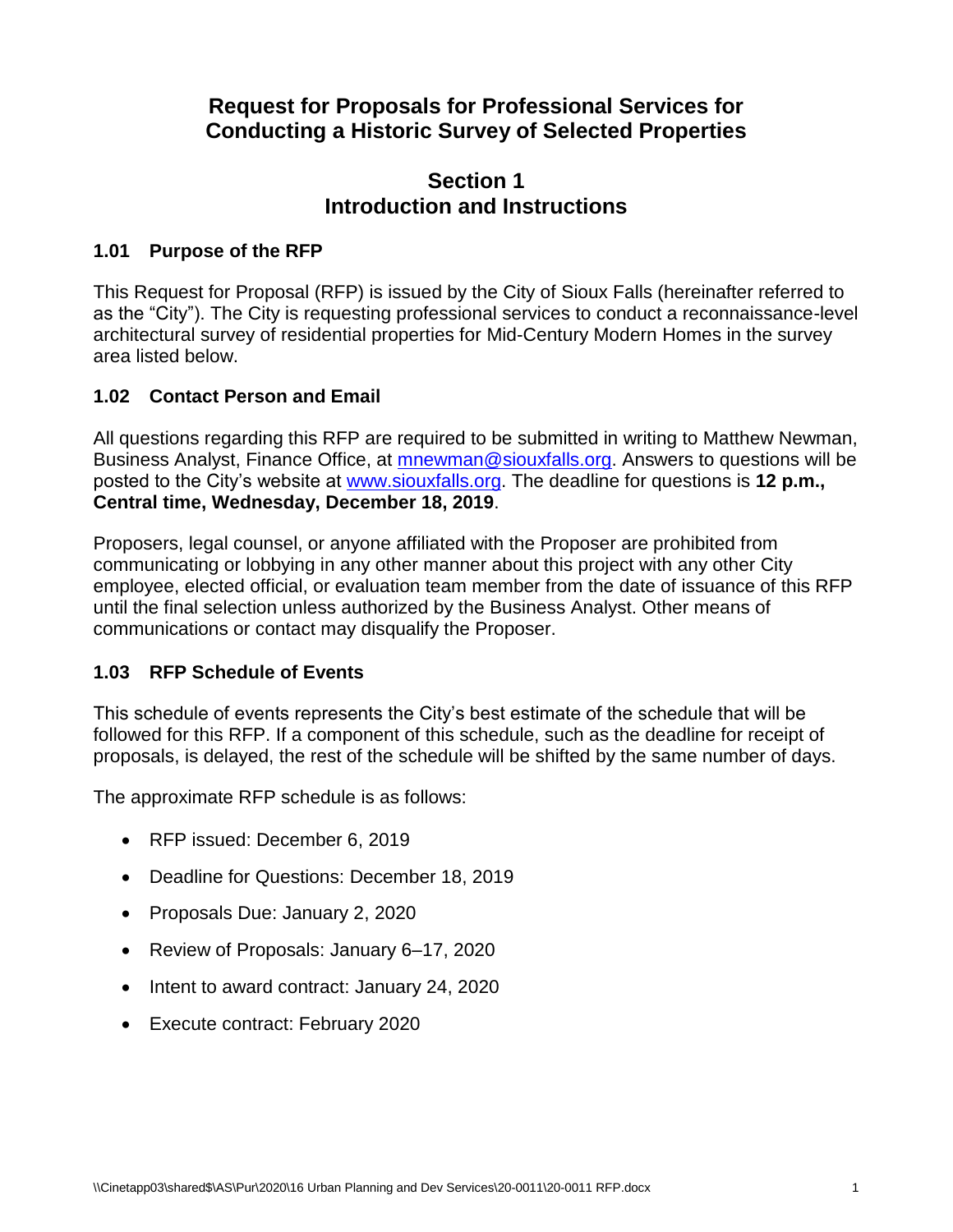# **Request for Proposals for Professional Services for Conducting a Historic Survey of Selected Properties**

# **Section 1 Introduction and Instructions**

## <span id="page-2-1"></span><span id="page-2-0"></span>**1.01 Purpose of the RFP**

This Request for Proposal (RFP) is issued by the City of Sioux Falls (hereinafter referred to as the "City"). The City is requesting professional services to conduct a reconnaissance-level architectural survey of residential properties for Mid-Century Modern Homes in the survey area listed below.

# <span id="page-2-2"></span>**1.02 Contact Person and Email**

All questions regarding this RFP are required to be submitted in writing to Matthew Newman, Business Analyst, Finance Office, at [mnewman@siouxfalls.org.](mailto:srust@siouxfalls.org) Answers to questions will be posted to the City's website at [www.siouxfalls.org.](http://www.siouxfalls.org/) The deadline for questions is **12 p.m., Central time, Wednesday, December 18, 2019**.

Proposers, legal counsel, or anyone affiliated with the Proposer are prohibited from communicating or lobbying in any other manner about this project with any other City employee, elected official, or evaluation team member from the date of issuance of this RFP until the final selection unless authorized by the Business Analyst. Other means of communications or contact may disqualify the Proposer.

#### <span id="page-2-3"></span>**1.03 RFP Schedule of Events**

This schedule of events represents the City's best estimate of the schedule that will be followed for this RFP. If a component of this schedule, such as the deadline for receipt of proposals, is delayed, the rest of the schedule will be shifted by the same number of days.

The approximate RFP schedule is as follows:

- RFP issued: December 6, 2019
- Deadline for Questions: December 18, 2019
- Proposals Due: January 2, 2020
- Review of Proposals: January 6–17, 2020
- Intent to award contract: January 24, 2020
- Execute contract: February 2020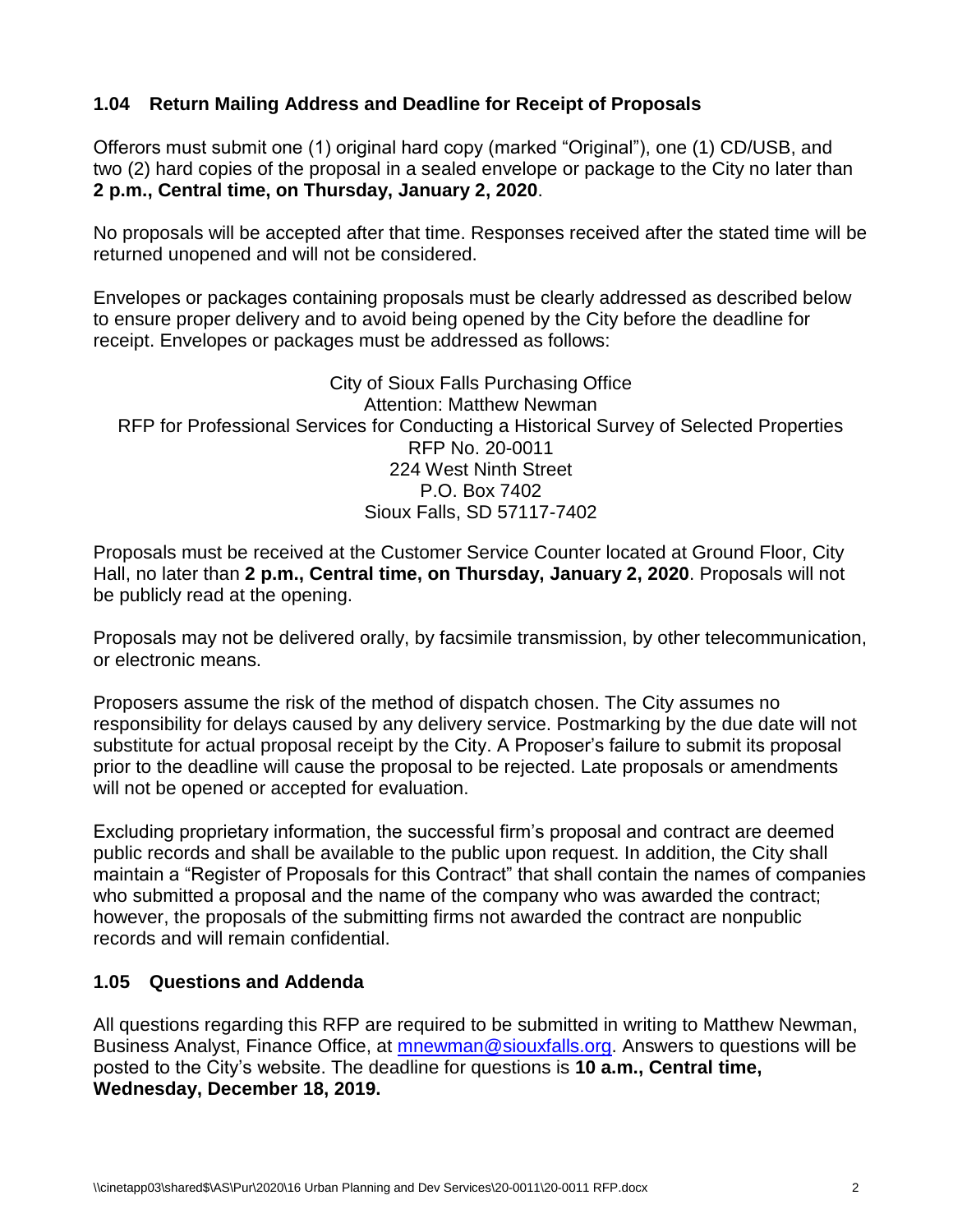#### <span id="page-3-0"></span>**1.04 Return Mailing Address and Deadline for Receipt of Proposals**

Offerors must submit one (1) original hard copy (marked "Original"), one (1) CD/USB, and two (2) hard copies of the proposal in a sealed envelope or package to the City no later than **2 p.m., Central time, on Thursday, January 2, 2020**.

No proposals will be accepted after that time. Responses received after the stated time will be returned unopened and will not be considered.

Envelopes or packages containing proposals must be clearly addressed as described below to ensure proper delivery and to avoid being opened by the City before the deadline for receipt. Envelopes or packages must be addressed as follows:

City of Sioux Falls Purchasing Office Attention: Matthew Newman RFP for Professional Services for Conducting a Historical Survey of Selected Properties RFP No. 20-0011 224 West Ninth Street P.O. Box 7402 Sioux Falls, SD 57117-7402

Proposals must be received at the Customer Service Counter located at Ground Floor, City Hall, no later than **2 p.m., Central time, on Thursday, January 2, 2020**. Proposals will not be publicly read at the opening.

Proposals may not be delivered orally, by facsimile transmission, by other telecommunication, or electronic means.

Proposers assume the risk of the method of dispatch chosen. The City assumes no responsibility for delays caused by any delivery service. Postmarking by the due date will not substitute for actual proposal receipt by the City. A Proposer's failure to submit its proposal prior to the deadline will cause the proposal to be rejected. Late proposals or amendments will not be opened or accepted for evaluation.

Excluding proprietary information, the successful firm's proposal and contract are deemed public records and shall be available to the public upon request. In addition, the City shall maintain a "Register of Proposals for this Contract" that shall contain the names of companies who submitted a proposal and the name of the company who was awarded the contract; however, the proposals of the submitting firms not awarded the contract are nonpublic records and will remain confidential.

#### <span id="page-3-1"></span>**1.05 Questions and Addenda**

All questions regarding this RFP are required to be submitted in writing to Matthew Newman, Business Analyst, Finance Office, at [mnewman@siouxfalls.org.](mailto:srust@siouxfalls.org) Answers to questions will be posted to the City's website. The deadline for questions is **10 a.m., Central time, Wednesday, December 18, 2019.**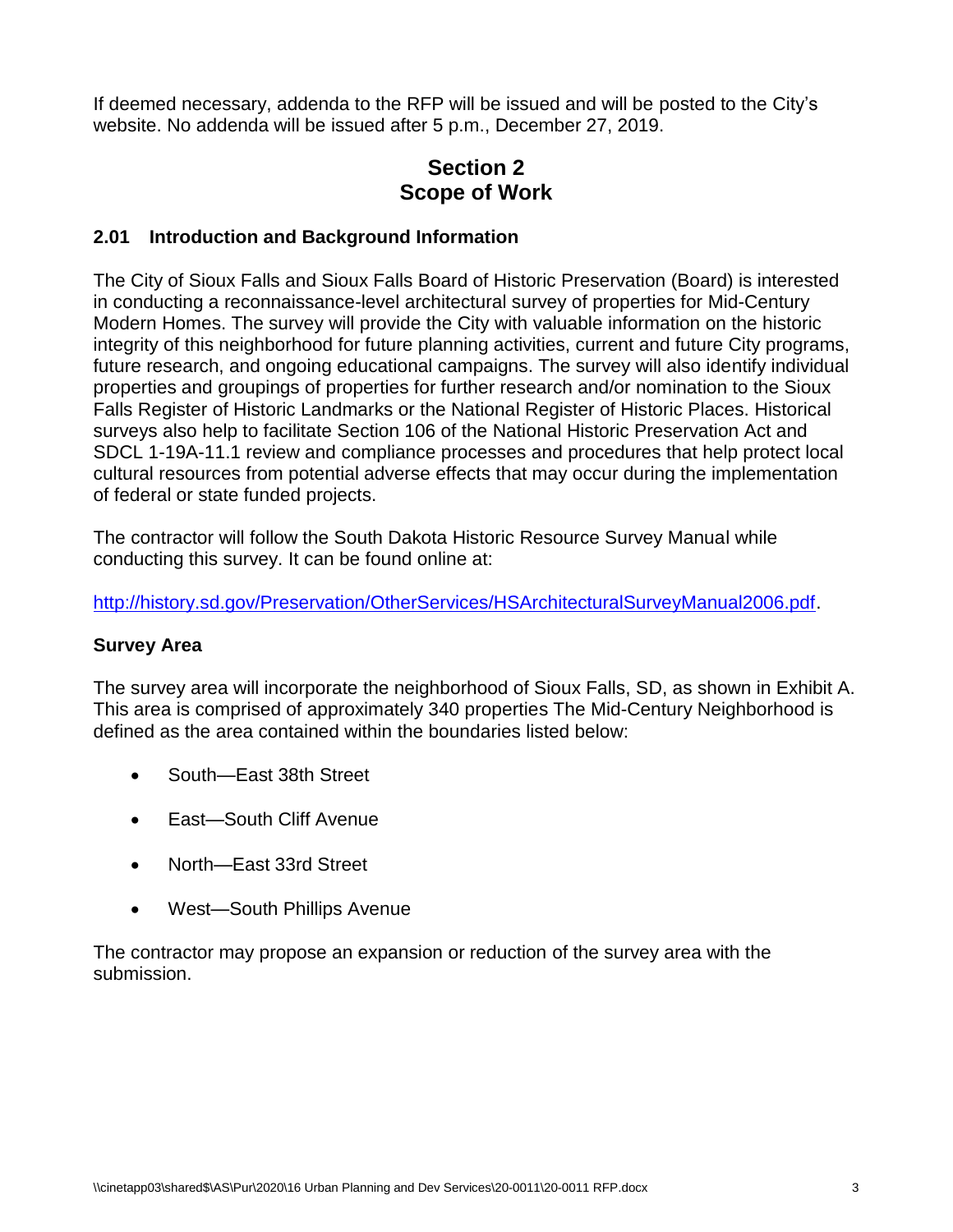<span id="page-4-0"></span>If deemed necessary, addenda to the RFP will be issued and will be posted to the City's website. No addenda will be issued after 5 p.m., December 27, 2019.

# **Section 2 Scope of Work**

## <span id="page-4-1"></span>**2.01 Introduction and Background Information**

The City of Sioux Falls and Sioux Falls Board of Historic Preservation (Board) is interested in conducting a reconnaissance-level architectural survey of properties for Mid-Century Modern Homes. The survey will provide the City with valuable information on the historic integrity of this neighborhood for future planning activities, current and future City programs, future research, and ongoing educational campaigns. The survey will also identify individual properties and groupings of properties for further research and/or nomination to the Sioux Falls Register of Historic Landmarks or the National Register of Historic Places. Historical surveys also help to facilitate Section 106 of the National Historic Preservation Act and SDCL 1-19A-11.1 review and compliance processes and procedures that help protect local cultural resources from potential adverse effects that may occur during the implementation of federal or state funded projects.

The contractor will follow the South Dakota Historic Resource Survey Manual while conducting this survey. It can be found online at:

[http://history.sd.gov/Preservation/OtherServices/HSArchitecturalSurveyManual2006.pdf.](http://history.sd.gov/Preservation/OtherServices/HSArchitecturalSurveyManual2006.pdf)

# **Survey Area**

The survey area will incorporate the neighborhood of Sioux Falls, SD, as shown in Exhibit A. This area is comprised of approximately 340 properties The Mid-Century Neighborhood is defined as the area contained within the boundaries listed below:

- South—East 38th Street
- East—South Cliff Avenue
- North—East 33rd Street
- West-South Phillips Avenue

The contractor may propose an expansion or reduction of the survey area with the submission.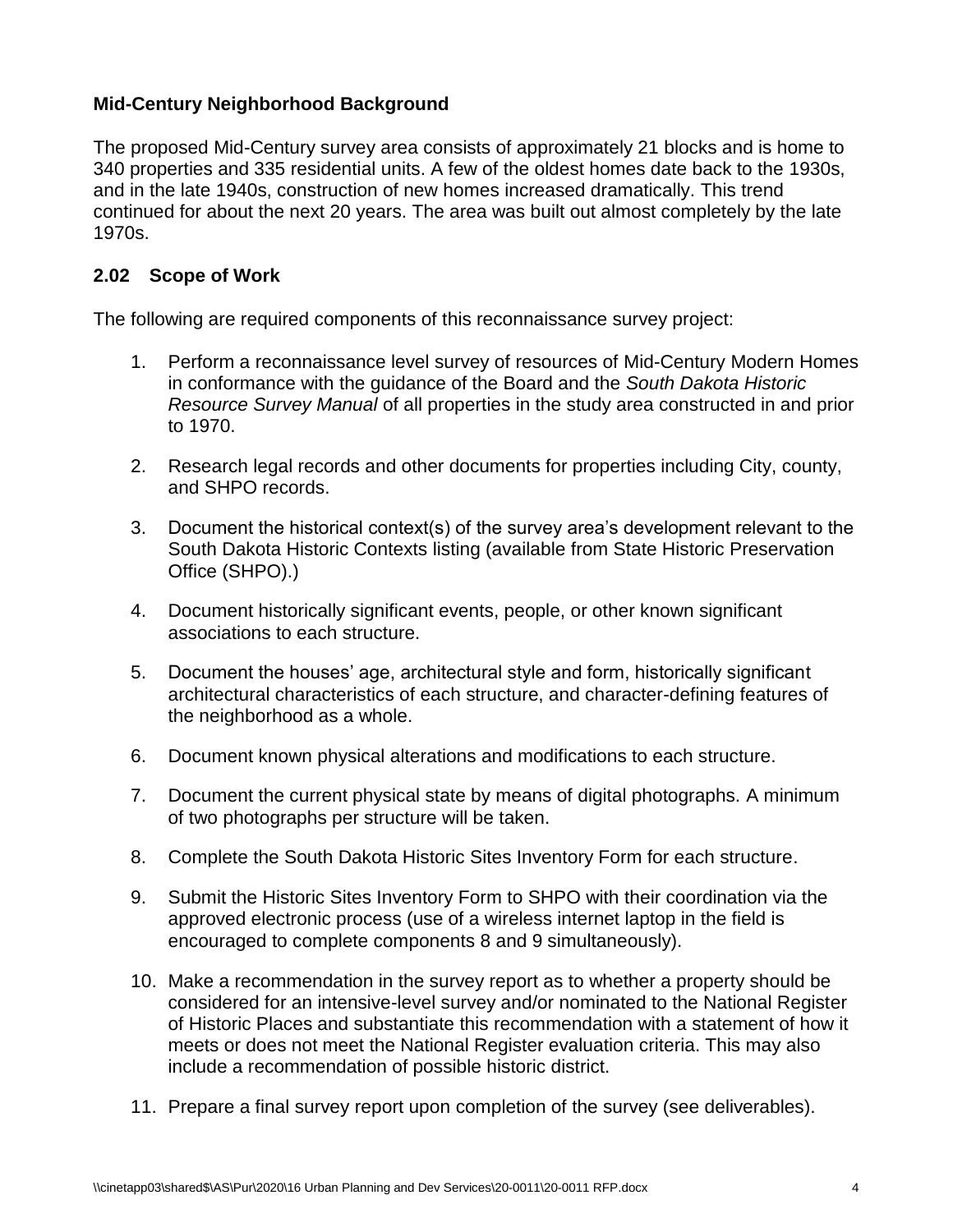#### **Mid-Century Neighborhood Background**

The proposed Mid-Century survey area consists of approximately 21 blocks and is home to 340 properties and 335 residential units. A few of the oldest homes date back to the 1930s, and in the late 1940s, construction of new homes increased dramatically. This trend continued for about the next 20 years. The area was built out almost completely by the late 1970s.

## <span id="page-5-0"></span>**2.02 Scope of Work**

The following are required components of this reconnaissance survey project:

- 1. Perform a reconnaissance level survey of resources of Mid-Century Modern Homes in conformance with the guidance of the Board and the *South Dakota Historic Resource Survey Manual* of all properties in the study area constructed in and prior to 1970.
- 2. Research legal records and other documents for properties including City, county, and SHPO records.
- 3. Document the historical context(s) of the survey area's development relevant to the South Dakota Historic Contexts listing (available from State Historic Preservation Office (SHPO).)
- 4. Document historically significant events, people, or other known significant associations to each structure.
- 5. Document the houses' age, architectural style and form, historically significant architectural characteristics of each structure, and character-defining features of the neighborhood as a whole.
- 6. Document known physical alterations and modifications to each structure.
- 7. Document the current physical state by means of digital photographs. A minimum of two photographs per structure will be taken.
- 8. Complete the South Dakota Historic Sites Inventory Form for each structure.
- 9. Submit the Historic Sites Inventory Form to SHPO with their coordination via the approved electronic process (use of a wireless internet laptop in the field is encouraged to complete components 8 and 9 simultaneously).
- 10. Make a recommendation in the survey report as to whether a property should be considered for an intensive-level survey and/or nominated to the National Register of Historic Places and substantiate this recommendation with a statement of how it meets or does not meet the National Register evaluation criteria. This may also include a recommendation of possible historic district.
- 11. Prepare a final survey report upon completion of the survey (see deliverables).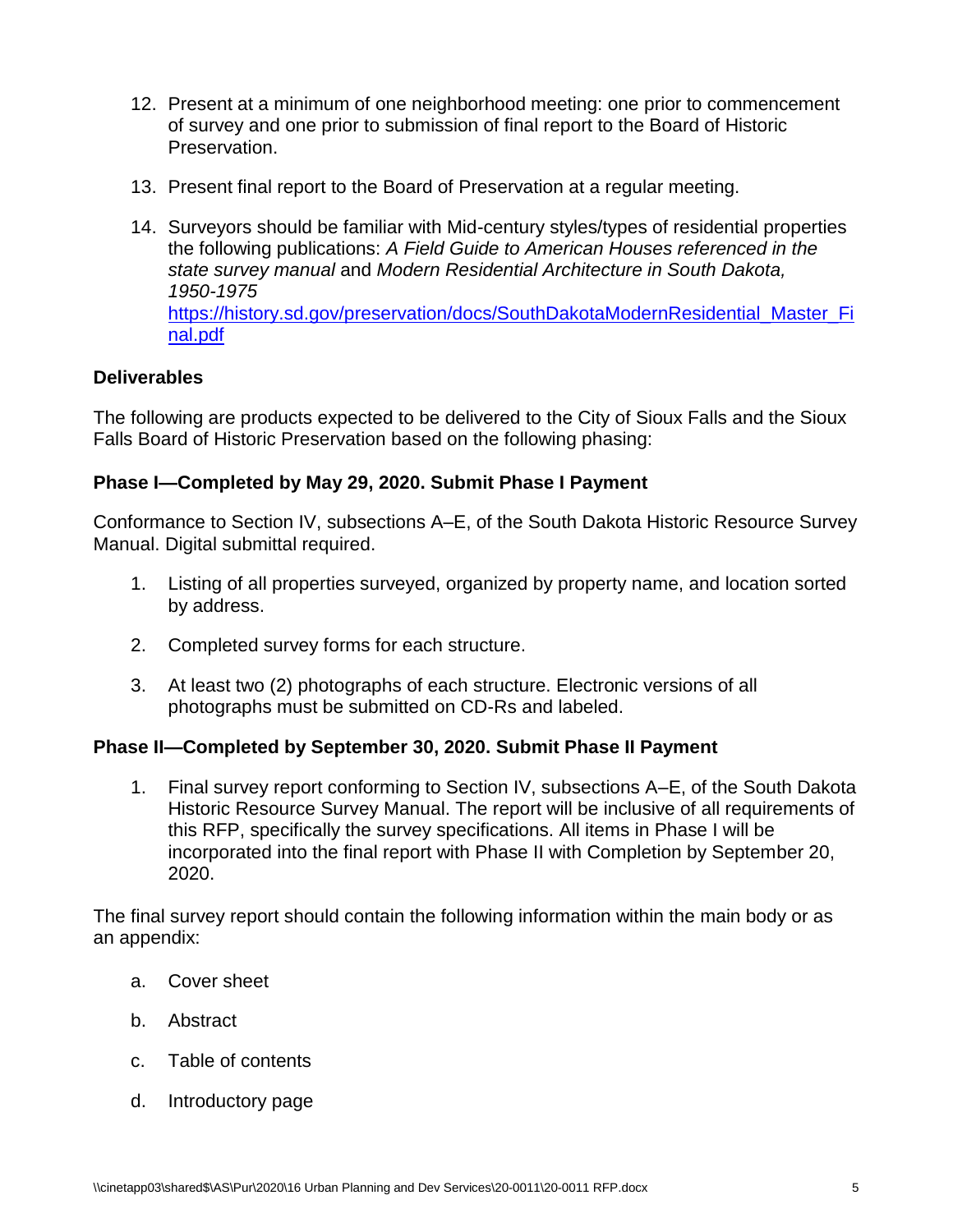- 12. Present at a minimum of one neighborhood meeting: one prior to commencement of survey and one prior to submission of final report to the Board of Historic Preservation.
- 13. Present final report to the Board of Preservation at a regular meeting.
- 14. Surveyors should be familiar with Mid-century styles/types of residential properties the following publications: *A Field Guide to American Houses referenced in the state survey manual* and *Modern Residential Architecture in South Dakota, 1950-1975* [https://history.sd.gov/preservation/docs/SouthDakotaModernResidential\\_Master\\_Fi](https://history.sd.gov/preservation/docs/SouthDakotaModernResidential_Master_Final.pdf) [nal.pdf](https://history.sd.gov/preservation/docs/SouthDakotaModernResidential_Master_Final.pdf)

#### **Deliverables**

The following are products expected to be delivered to the City of Sioux Falls and the Sioux Falls Board of Historic Preservation based on the following phasing:

#### **Phase I—Completed by May 29, 2020. Submit Phase I Payment**

Conformance to Section IV, subsections A–E, of the South Dakota Historic Resource Survey Manual. Digital submittal required.

- 1. Listing of all properties surveyed, organized by property name, and location sorted by address.
- 2. Completed survey forms for each structure.
- 3. At least two (2) photographs of each structure. Electronic versions of all photographs must be submitted on CD-Rs and labeled.

#### **Phase II—Completed by September 30, 2020. Submit Phase II Payment**

1. Final survey report conforming to Section IV, subsections A–E, of the South Dakota Historic Resource Survey Manual. The report will be inclusive of all requirements of this RFP, specifically the survey specifications. All items in Phase I will be incorporated into the final report with Phase II with Completion by September 20, 2020.

The final survey report should contain the following information within the main body or as an appendix:

- a. Cover sheet
- b. Abstract
- c. Table of contents
- d. Introductory page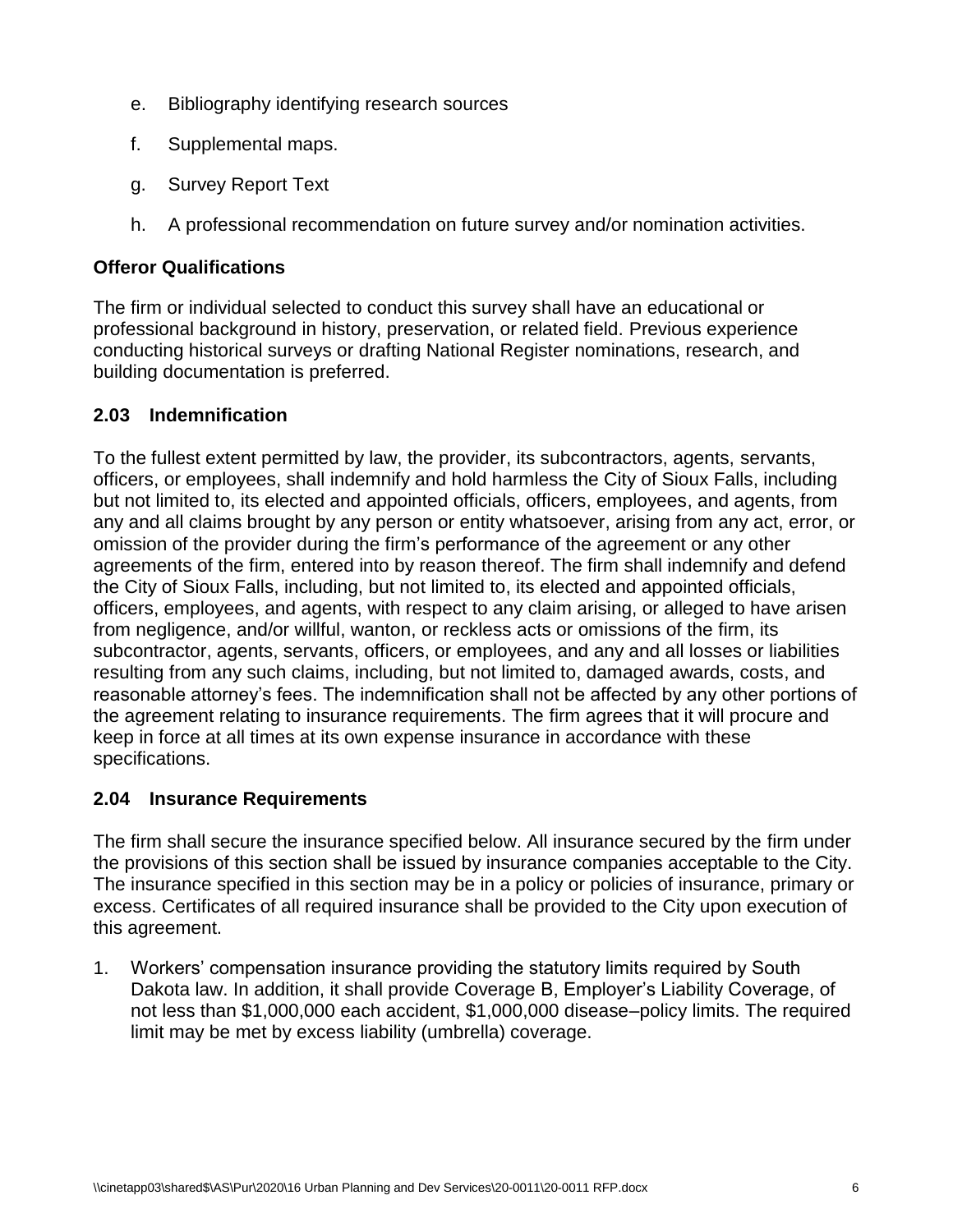- e. Bibliography identifying research sources
- f. Supplemental maps.
- g. Survey Report Text
- h. A professional recommendation on future survey and/or nomination activities.

# **Offeror Qualifications**

The firm or individual selected to conduct this survey shall have an educational or professional background in history, preservation, or related field. Previous experience conducting historical surveys or drafting National Register nominations, research, and building documentation is preferred.

# <span id="page-7-0"></span>**2.03 Indemnification**

To the fullest extent permitted by law, the provider, its subcontractors, agents, servants, officers, or employees, shall indemnify and hold harmless the City of Sioux Falls, including but not limited to, its elected and appointed officials, officers, employees, and agents, from any and all claims brought by any person or entity whatsoever, arising from any act, error, or omission of the provider during the firm's performance of the agreement or any other agreements of the firm, entered into by reason thereof. The firm shall indemnify and defend the City of Sioux Falls, including, but not limited to, its elected and appointed officials, officers, employees, and agents, with respect to any claim arising, or alleged to have arisen from negligence, and/or willful, wanton, or reckless acts or omissions of the firm, its subcontractor, agents, servants, officers, or employees, and any and all losses or liabilities resulting from any such claims, including, but not limited to, damaged awards, costs, and reasonable attorney's fees. The indemnification shall not be affected by any other portions of the agreement relating to insurance requirements. The firm agrees that it will procure and keep in force at all times at its own expense insurance in accordance with these specifications.

# <span id="page-7-1"></span>**2.04 Insurance Requirements**

The firm shall secure the insurance specified below. All insurance secured by the firm under the provisions of this section shall be issued by insurance companies acceptable to the City. The insurance specified in this section may be in a policy or policies of insurance, primary or excess. Certificates of all required insurance shall be provided to the City upon execution of this agreement.

1. Workers' compensation insurance providing the statutory limits required by South Dakota law. In addition, it shall provide Coverage B, Employer's Liability Coverage, of not less than \$1,000,000 each accident, \$1,000,000 disease–policy limits. The required limit may be met by excess liability (umbrella) coverage.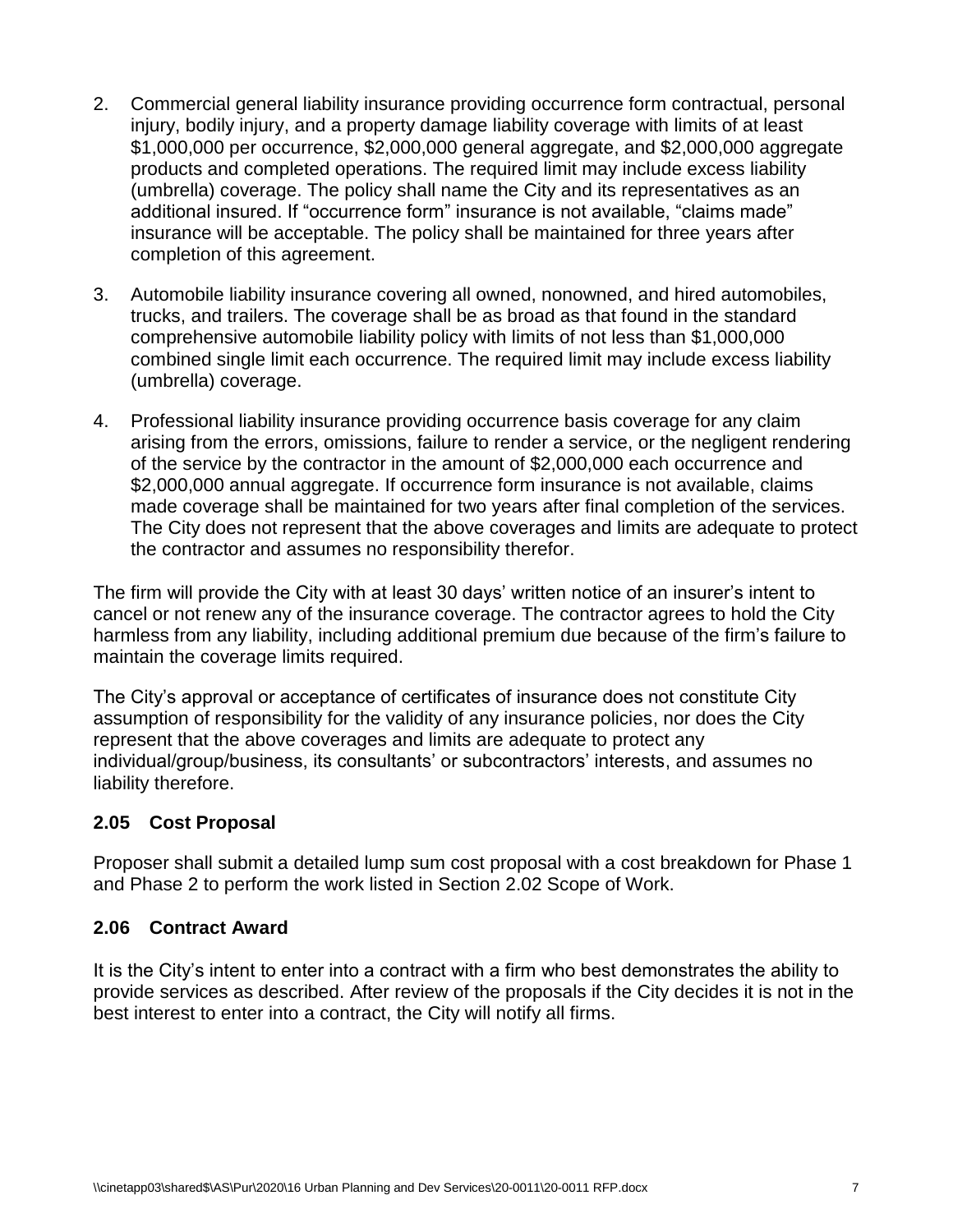- 2. Commercial general liability insurance providing occurrence form contractual, personal injury, bodily injury, and a property damage liability coverage with limits of at least \$1,000,000 per occurrence, \$2,000,000 general aggregate, and \$2,000,000 aggregate products and completed operations. The required limit may include excess liability (umbrella) coverage. The policy shall name the City and its representatives as an additional insured. If "occurrence form" insurance is not available, "claims made" insurance will be acceptable. The policy shall be maintained for three years after completion of this agreement.
- 3. Automobile liability insurance covering all owned, nonowned, and hired automobiles, trucks, and trailers. The coverage shall be as broad as that found in the standard comprehensive automobile liability policy with limits of not less than \$1,000,000 combined single limit each occurrence. The required limit may include excess liability (umbrella) coverage.
- 4. Professional liability insurance providing occurrence basis coverage for any claim arising from the errors, omissions, failure to render a service, or the negligent rendering of the service by the contractor in the amount of \$2,000,000 each occurrence and \$2,000,000 annual aggregate. If occurrence form insurance is not available, claims made coverage shall be maintained for two years after final completion of the services. The City does not represent that the above coverages and limits are adequate to protect the contractor and assumes no responsibility therefor.

The firm will provide the City with at least 30 days' written notice of an insurer's intent to cancel or not renew any of the insurance coverage. The contractor agrees to hold the City harmless from any liability, including additional premium due because of the firm's failure to maintain the coverage limits required.

The City's approval or acceptance of certificates of insurance does not constitute City assumption of responsibility for the validity of any insurance policies, nor does the City represent that the above coverages and limits are adequate to protect any individual/group/business, its consultants' or subcontractors' interests, and assumes no liability therefore.

#### <span id="page-8-0"></span>**2.05 Cost Proposal**

Proposer shall submit a detailed lump sum cost proposal with a cost breakdown for Phase 1 and Phase 2 to perform the work listed in Section 2.02 Scope of Work.

#### <span id="page-8-1"></span>**2.06 Contract Award**

It is the City's intent to enter into a contract with a firm who best demonstrates the ability to provide services as described. After review of the proposals if the City decides it is not in the best interest to enter into a contract, the City will notify all firms.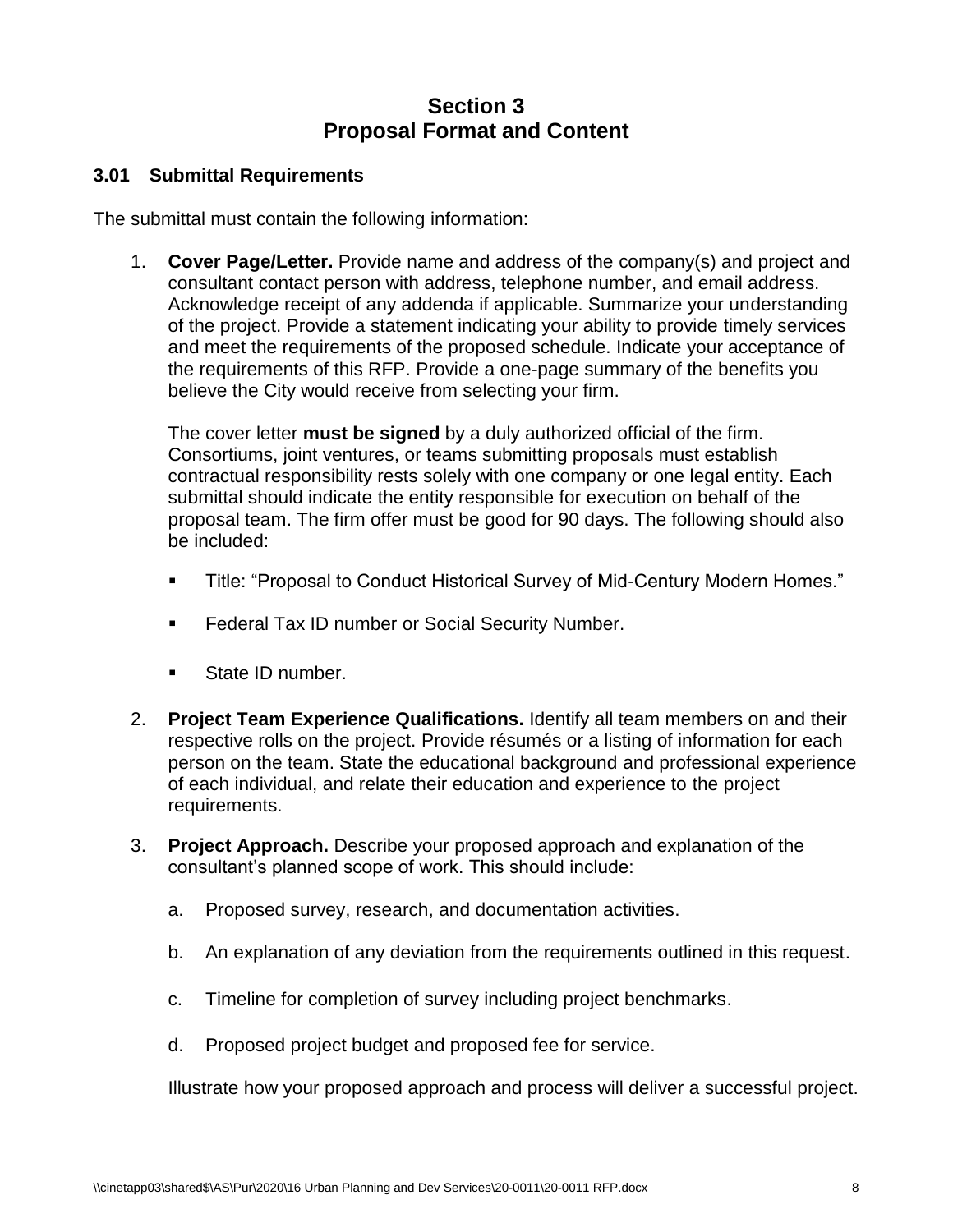# **Section 3 Proposal Format and Content**

#### <span id="page-9-1"></span><span id="page-9-0"></span>**3.01 Submittal Requirements**

The submittal must contain the following information:

1. **Cover Page/Letter.** Provide name and address of the company(s) and project and consultant contact person with address, telephone number, and email address. Acknowledge receipt of any addenda if applicable. Summarize your understanding of the project. Provide a statement indicating your ability to provide timely services and meet the requirements of the proposed schedule. Indicate your acceptance of the requirements of this RFP. Provide a one-page summary of the benefits you believe the City would receive from selecting your firm.

The cover letter **must be signed** by a duly authorized official of the firm. Consortiums, joint ventures, or teams submitting proposals must establish contractual responsibility rests solely with one company or one legal entity. Each submittal should indicate the entity responsible for execution on behalf of the proposal team. The firm offer must be good for 90 days. The following should also be included:

- Title: "Proposal to Conduct Historical Survey of Mid-Century Modern Homes."
- **Federal Tax ID number or Social Security Number.**
- State ID number.
- 2. **Project Team Experience Qualifications.** Identify all team members on and their respective rolls on the project. Provide résumés or a listing of information for each person on the team. State the educational background and professional experience of each individual, and relate their education and experience to the project requirements.
- 3. **Project Approach.** Describe your proposed approach and explanation of the consultant's planned scope of work. This should include:
	- a. Proposed survey, research, and documentation activities.
	- b. An explanation of any deviation from the requirements outlined in this request.
	- c. Timeline for completion of survey including project benchmarks.
	- d. Proposed project budget and proposed fee for service.

Illustrate how your proposed approach and process will deliver a successful project.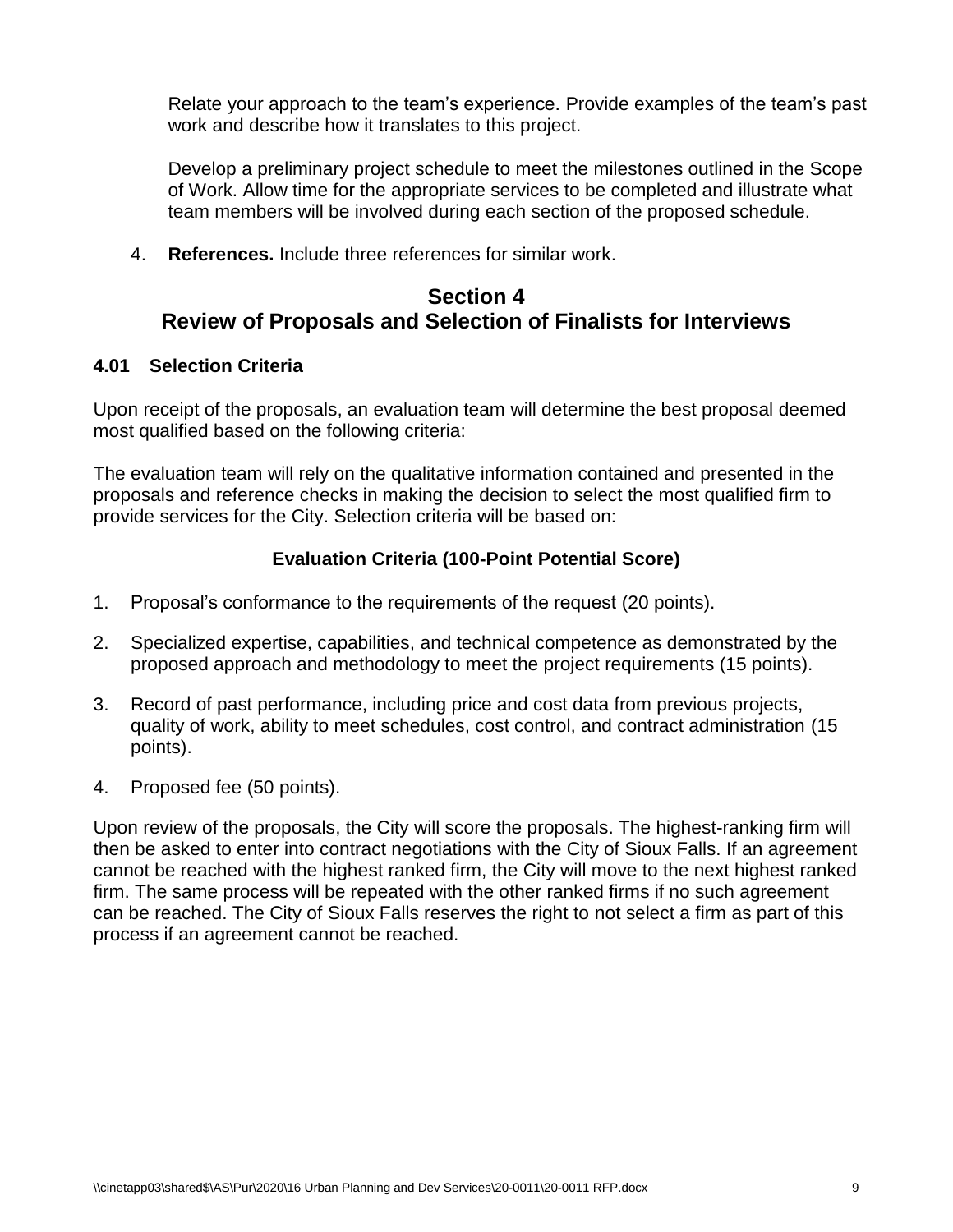Relate your approach to the team's experience. Provide examples of the team's past work and describe how it translates to this project.

Develop a preliminary project schedule to meet the milestones outlined in the Scope of Work. Allow time for the appropriate services to be completed and illustrate what team members will be involved during each section of the proposed schedule.

<span id="page-10-0"></span>4. **References.** Include three references for similar work.

# **Section 4 Review of Proposals and Selection of Finalists for Interviews**

#### <span id="page-10-1"></span>**4.01 Selection Criteria**

Upon receipt of the proposals, an evaluation team will determine the best proposal deemed most qualified based on the following criteria:

The evaluation team will rely on the qualitative information contained and presented in the proposals and reference checks in making the decision to select the most qualified firm to provide services for the City. Selection criteria will be based on:

## **Evaluation Criteria (100-Point Potential Score)**

- 1. Proposal's conformance to the requirements of the request (20 points).
- 2. Specialized expertise, capabilities, and technical competence as demonstrated by the proposed approach and methodology to meet the project requirements (15 points).
- 3. Record of past performance, including price and cost data from previous projects, quality of work, ability to meet schedules, cost control, and contract administration (15 points).
- 4. Proposed fee (50 points).

Upon review of the proposals, the City will score the proposals. The highest-ranking firm will then be asked to enter into contract negotiations with the City of Sioux Falls. If an agreement cannot be reached with the highest ranked firm, the City will move to the next highest ranked firm. The same process will be repeated with the other ranked firms if no such agreement can be reached. The City of Sioux Falls reserves the right to not select a firm as part of this process if an agreement cannot be reached.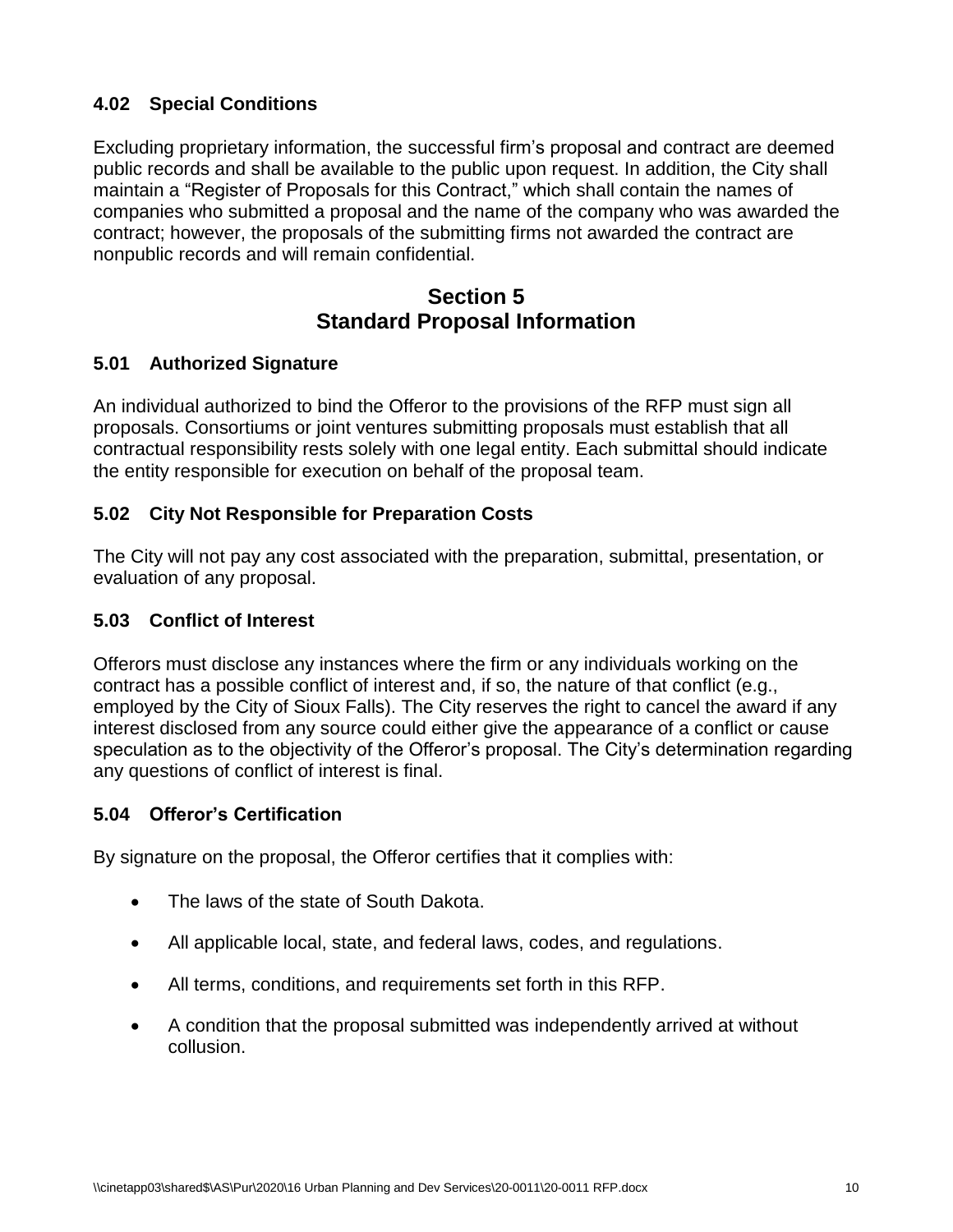# <span id="page-11-0"></span>**4.02 Special Conditions**

Excluding proprietary information, the successful firm's proposal and contract are deemed public records and shall be available to the public upon request. In addition, the City shall maintain a "Register of Proposals for this Contract," which shall contain the names of companies who submitted a proposal and the name of the company who was awarded the contract; however, the proposals of the submitting firms not awarded the contract are nonpublic records and will remain confidential.

# **Section 5 Standard Proposal Information**

## <span id="page-11-2"></span><span id="page-11-1"></span>**5.01 Authorized Signature**

An individual authorized to bind the Offeror to the provisions of the RFP must sign all proposals. Consortiums or joint ventures submitting proposals must establish that all contractual responsibility rests solely with one legal entity. Each submittal should indicate the entity responsible for execution on behalf of the proposal team.

#### <span id="page-11-3"></span>**5.02 City Not Responsible for Preparation Costs**

The City will not pay any cost associated with the preparation, submittal, presentation, or evaluation of any proposal.

#### <span id="page-11-4"></span>**5.03 Conflict of Interest**

Offerors must disclose any instances where the firm or any individuals working on the contract has a possible conflict of interest and, if so, the nature of that conflict (e.g., employed by the City of Sioux Falls). The City reserves the right to cancel the award if any interest disclosed from any source could either give the appearance of a conflict or cause speculation as to the objectivity of the Offeror's proposal. The City's determination regarding any questions of conflict of interest is final.

#### <span id="page-11-5"></span>**5.04 Offeror's Certification**

By signature on the proposal, the Offeror certifies that it complies with:

- The laws of the state of South Dakota.
- All applicable local, state, and federal laws, codes, and regulations.
- All terms, conditions, and requirements set forth in this RFP.
- A condition that the proposal submitted was independently arrived at without collusion.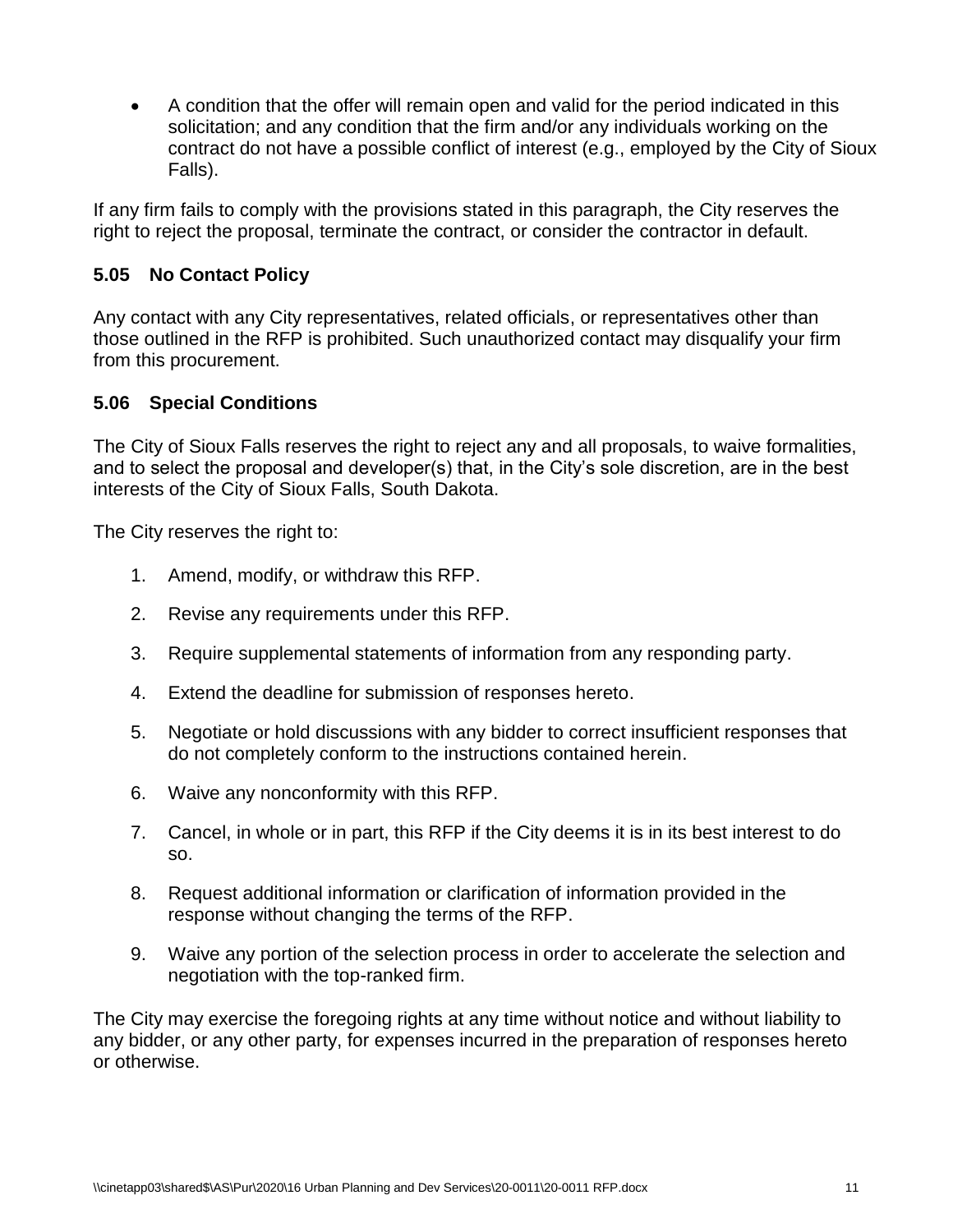A condition that the offer will remain open and valid for the period indicated in this solicitation; and any condition that the firm and/or any individuals working on the contract do not have a possible conflict of interest (e.g., employed by the City of Sioux Falls).

If any firm fails to comply with the provisions stated in this paragraph, the City reserves the right to reject the proposal, terminate the contract, or consider the contractor in default.

## <span id="page-12-0"></span>**5.05 No Contact Policy**

Any contact with any City representatives, related officials, or representatives other than those outlined in the RFP is prohibited. Such unauthorized contact may disqualify your firm from this procurement.

## <span id="page-12-1"></span>**5.06 Special Conditions**

The City of Sioux Falls reserves the right to reject any and all proposals, to waive formalities, and to select the proposal and developer(s) that, in the City's sole discretion, are in the best interests of the City of Sioux Falls, South Dakota.

The City reserves the right to:

- 1. Amend, modify, or withdraw this RFP.
- 2. Revise any requirements under this RFP.
- 3. Require supplemental statements of information from any responding party.
- 4. Extend the deadline for submission of responses hereto.
- 5. Negotiate or hold discussions with any bidder to correct insufficient responses that do not completely conform to the instructions contained herein.
- 6. Waive any nonconformity with this RFP.
- 7. Cancel, in whole or in part, this RFP if the City deems it is in its best interest to do so.
- 8. Request additional information or clarification of information provided in the response without changing the terms of the RFP.
- 9. Waive any portion of the selection process in order to accelerate the selection and negotiation with the top-ranked firm.

The City may exercise the foregoing rights at any time without notice and without liability to any bidder, or any other party, for expenses incurred in the preparation of responses hereto or otherwise.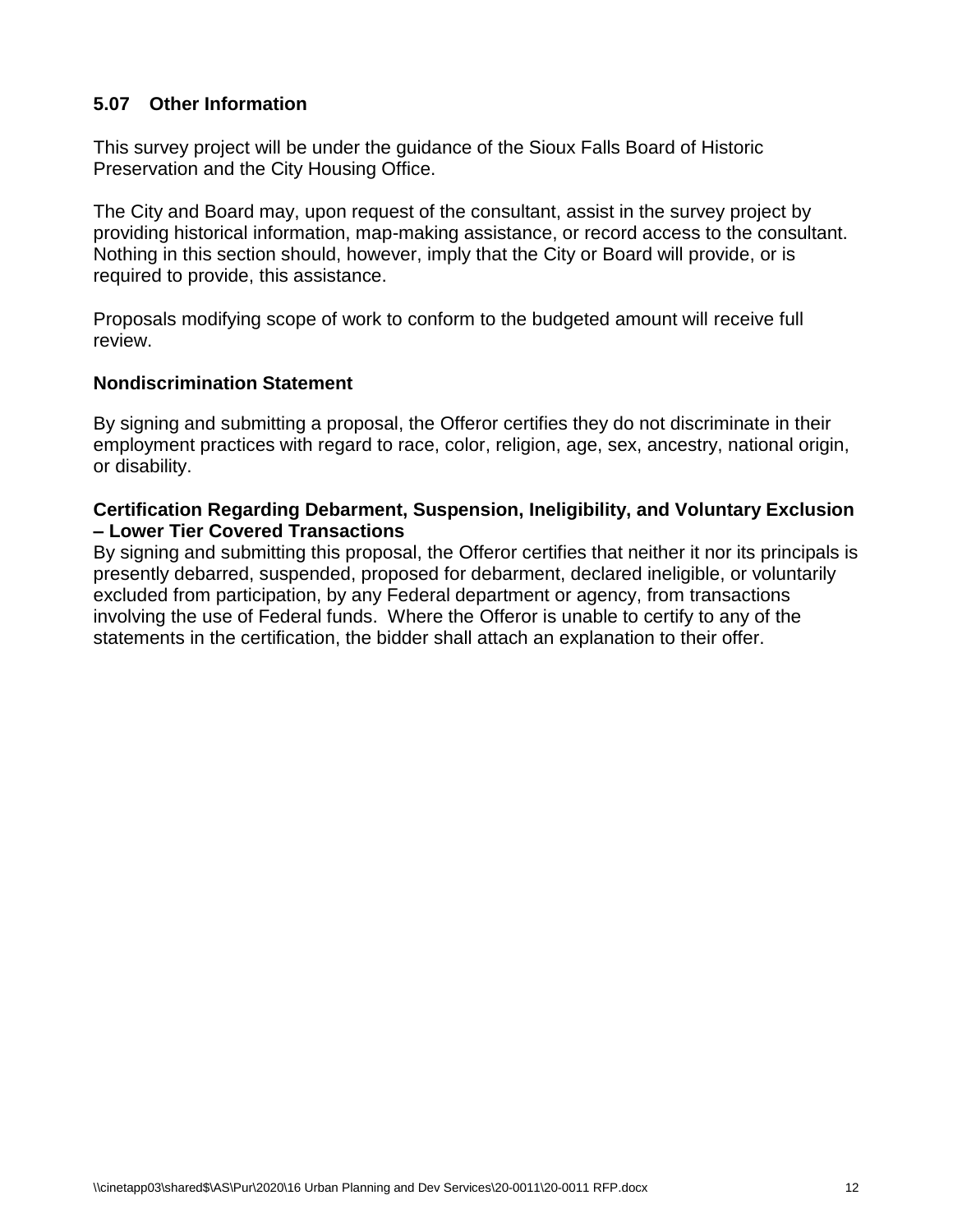#### <span id="page-13-0"></span>**5.07 Other Information**

This survey project will be under the guidance of the Sioux Falls Board of Historic Preservation and the City Housing Office.

The City and Board may, upon request of the consultant, assist in the survey project by providing historical information, map-making assistance, or record access to the consultant. Nothing in this section should, however, imply that the City or Board will provide, or is required to provide, this assistance.

Proposals modifying scope of work to conform to the budgeted amount will receive full review.

#### **Nondiscrimination Statement**

By signing and submitting a proposal, the Offeror certifies they do not discriminate in their employment practices with regard to race, color, religion, age, sex, ancestry, national origin, or disability.

#### **Certification Regarding Debarment, Suspension, Ineligibility, and Voluntary Exclusion – Lower Tier Covered Transactions**

By signing and submitting this proposal, the Offeror certifies that neither it nor its principals is presently debarred, suspended, proposed for debarment, declared ineligible, or voluntarily excluded from participation, by any Federal department or agency, from transactions involving the use of Federal funds. Where the Offeror is unable to certify to any of the statements in the certification, the bidder shall attach an explanation to their offer.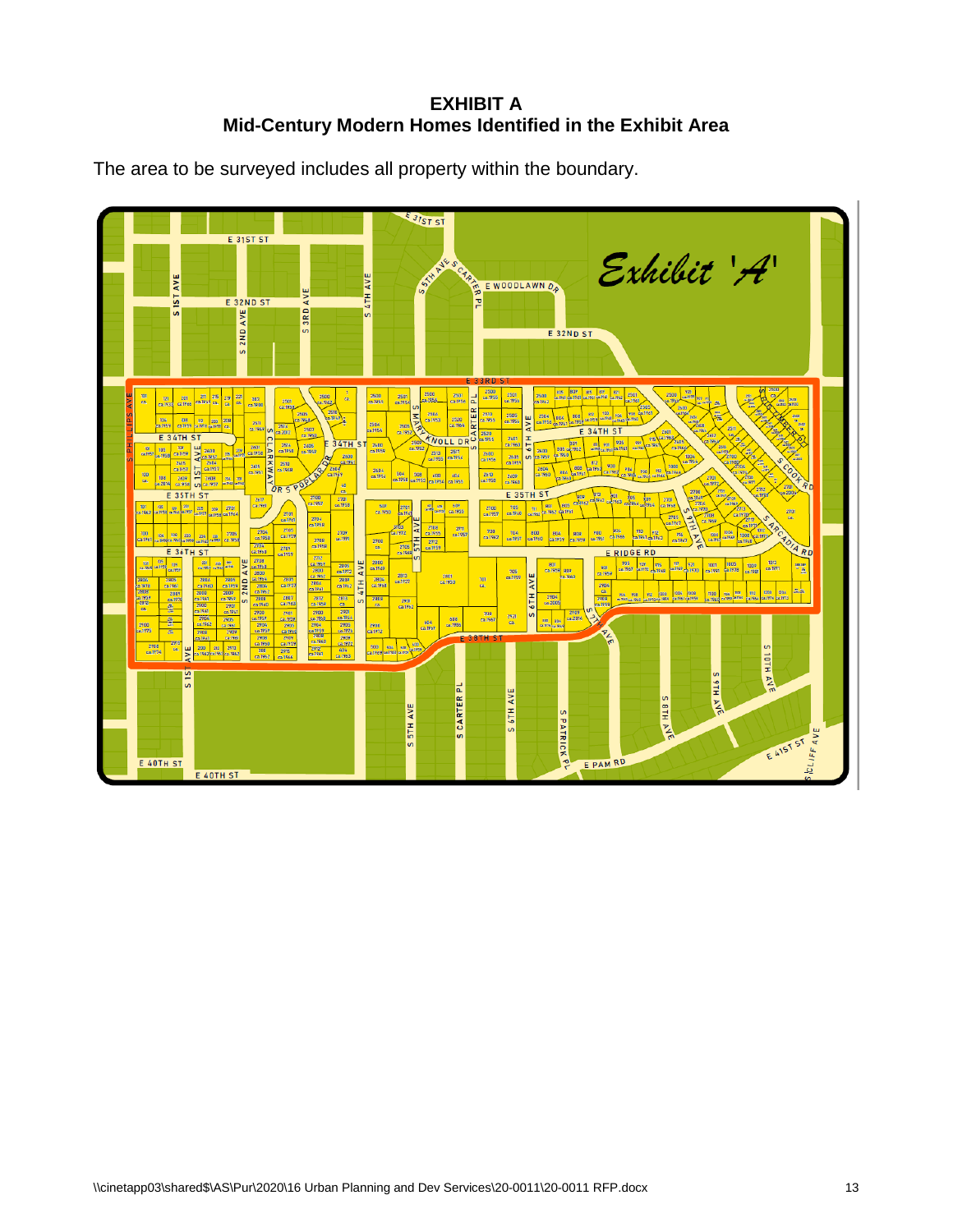# **EXHIBIT A Mid-Century Modern Homes Identified in the Exhibit Area**

The area to be surveyed includes all property within the boundary.

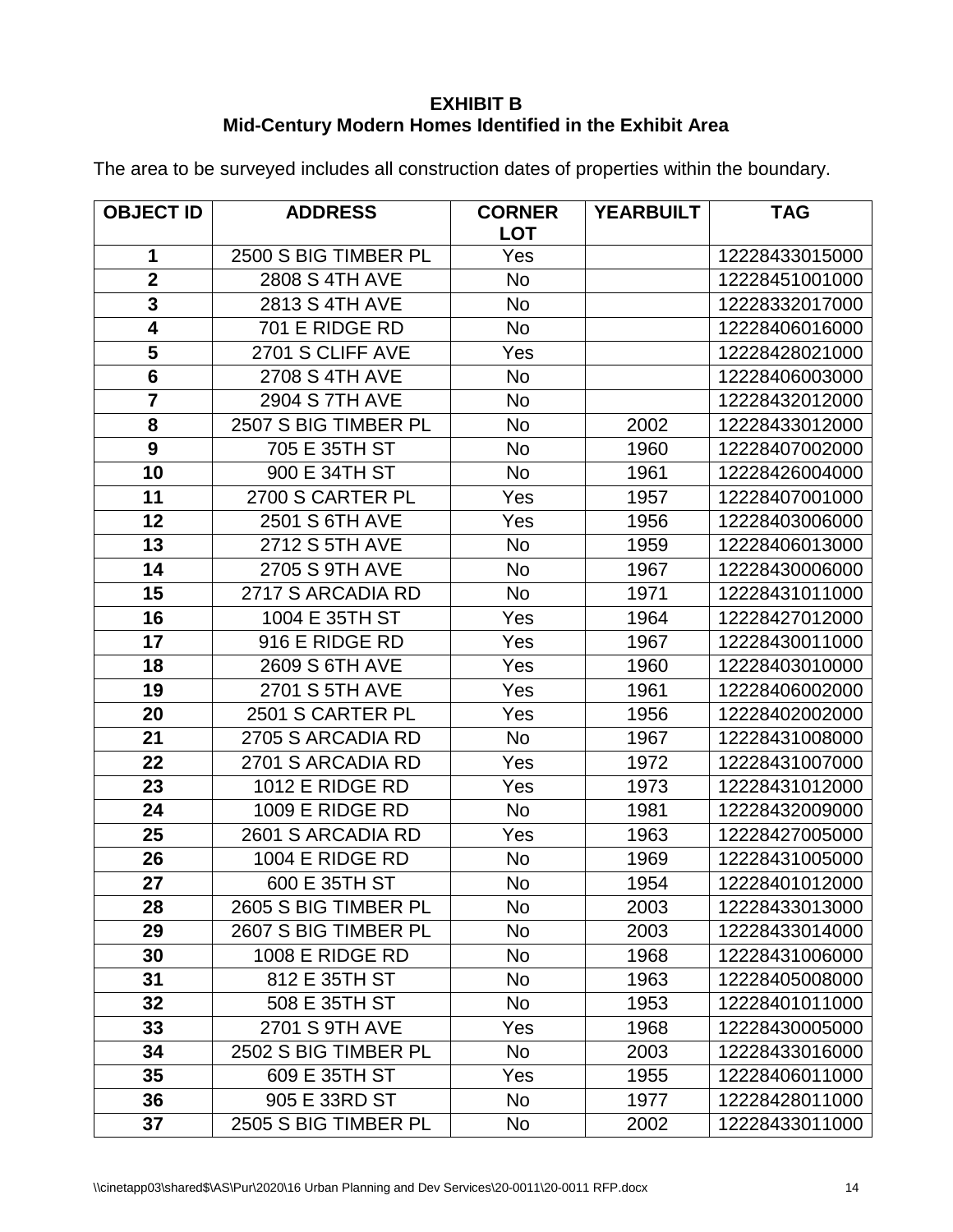## **EXHIBIT B Mid-Century Modern Homes Identified in the Exhibit Area**

The area to be surveyed includes all construction dates of properties within the boundary.

| <b>OBJECT ID</b>        | <b>ADDRESS</b>        | <b>CORNER</b> | <b>YEARBUILT</b> | <b>TAG</b>     |
|-------------------------|-----------------------|---------------|------------------|----------------|
|                         |                       | <b>LOT</b>    |                  |                |
| 1                       | 2500 S BIG TIMBER PL  | Yes           |                  | 12228433015000 |
| $\mathbf{2}$            | 2808 S 4TH AVE        | No            |                  | 12228451001000 |
| 3                       | 2813 S 4TH AVE        | <b>No</b>     |                  | 12228332017000 |
| $\overline{\mathbf{4}}$ | 701 E RIDGE RD        | No            |                  | 12228406016000 |
| 5                       | 2701 S CLIFF AVE      | Yes           |                  | 12228428021000 |
| $6\phantom{a}$          | 2708 S 4TH AVE        | <b>No</b>     |                  | 12228406003000 |
| $\overline{\mathbf{7}}$ | 2904 S 7TH AVE        | <b>No</b>     |                  | 12228432012000 |
| 8                       | 2507 S BIG TIMBER PL  | <b>No</b>     | 2002             | 12228433012000 |
| 9                       | 705 E 35TH ST         | No            | 1960             | 12228407002000 |
| 10                      | 900 E 34TH ST         | <b>No</b>     | 1961             | 12228426004000 |
| 11                      | 2700 S CARTER PL      | Yes           | 1957             | 12228407001000 |
| 12                      | <b>2501 S 6TH AVE</b> | Yes           | 1956             | 12228403006000 |
| 13                      | 2712 S 5TH AVE        | <b>No</b>     | 1959             | 12228406013000 |
| 14                      | <b>2705 S 9TH AVE</b> | <b>No</b>     | 1967             | 12228430006000 |
| 15                      | 2717 S ARCADIA RD     | <b>No</b>     | 1971             | 12228431011000 |
| 16                      | 1004 E 35TH ST        | Yes           | 1964             | 12228427012000 |
| 17                      | 916 E RIDGE RD        | Yes           | 1967             | 12228430011000 |
| 18                      | 2609 S 6TH AVE        | Yes           | 1960             | 12228403010000 |
| 19                      | 2701 S 5TH AVE        | Yes           | 1961             | 12228406002000 |
| 20                      | 2501 S CARTER PL      | Yes           | 1956             | 12228402002000 |
| 21                      | 2705 S ARCADIA RD     | No            | 1967             | 12228431008000 |
| 22                      | 2701 S ARCADIA RD     | Yes           | 1972             | 12228431007000 |
| 23                      | 1012 E RIDGE RD       | Yes           | 1973             | 12228431012000 |
| 24                      | 1009 E RIDGE RD       | No            | 1981             | 12228432009000 |
| 25                      | 2601 S ARCADIA RD     | Yes           | 1963             | 12228427005000 |
| 26                      | 1004 E RIDGE RD       | No            | 1969             | 12228431005000 |
| 27                      | 600 E 35TH ST         | <b>No</b>     | 1954             | 12228401012000 |
| 28                      | 2605 S BIG TIMBER PL  | No            | 2003             | 12228433013000 |
| 29                      | 2607 S BIG TIMBER PL  | No            | 2003             | 12228433014000 |
| 30                      | 1008 E RIDGE RD       | No            | 1968             | 12228431006000 |
| 31                      | 812 E 35TH ST         | No            | 1963             | 12228405008000 |
| 32                      | 508 E 35TH ST         | No            | 1953             | 12228401011000 |
| 33                      | <b>2701 S 9TH AVE</b> | Yes           | 1968             | 12228430005000 |
| 34                      | 2502 S BIG TIMBER PL  | No            | 2003             | 12228433016000 |
| 35                      | 609 E 35TH ST         | Yes           | 1955             | 12228406011000 |
| 36                      | 905 E 33RD ST         | No            | 1977             | 12228428011000 |
| 37                      | 2505 S BIG TIMBER PL  | No            | 2002             | 12228433011000 |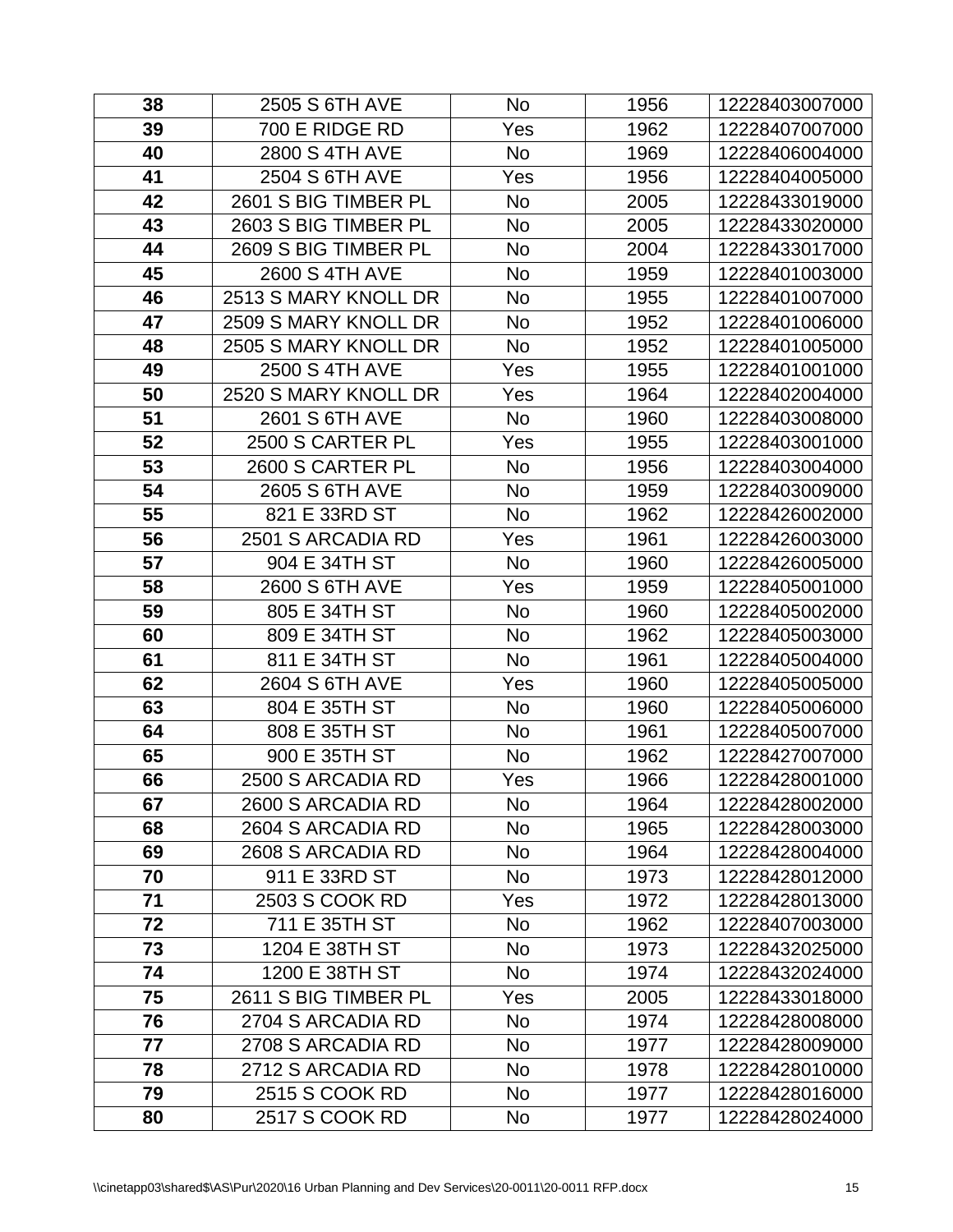| 38 | 2505 S 6TH AVE       | No        | 1956 | 12228403007000 |
|----|----------------------|-----------|------|----------------|
| 39 | 700 E RIDGE RD       | Yes       | 1962 | 12228407007000 |
| 40 | 2800 S 4TH AVE       | No        | 1969 | 12228406004000 |
| 41 | 2504 S 6TH AVE       | Yes       | 1956 | 12228404005000 |
| 42 | 2601 S BIG TIMBER PL | No        | 2005 | 12228433019000 |
| 43 | 2603 S BIG TIMBER PL | No        | 2005 | 12228433020000 |
| 44 | 2609 S BIG TIMBER PL | No        | 2004 | 12228433017000 |
| 45 | 2600 S 4TH AVE       | No        | 1959 | 12228401003000 |
| 46 | 2513 S MARY KNOLL DR | No        | 1955 | 12228401007000 |
| 47 | 2509 S MARY KNOLL DR | No        | 1952 | 12228401006000 |
| 48 | 2505 S MARY KNOLL DR | <b>No</b> | 1952 | 12228401005000 |
| 49 | 2500 S 4TH AVE       | Yes       | 1955 | 12228401001000 |
| 50 | 2520 S MARY KNOLL DR | Yes       | 1964 | 12228402004000 |
| 51 | 2601 S 6TH AVE       | No        | 1960 | 12228403008000 |
| 52 | 2500 S CARTER PL     | Yes       | 1955 | 12228403001000 |
| 53 | 2600 S CARTER PL     | No        | 1956 | 12228403004000 |
| 54 | 2605 S 6TH AVE       | No        | 1959 | 12228403009000 |
| 55 | 821 E 33RD ST        | No        | 1962 | 12228426002000 |
| 56 | 2501 S ARCADIA RD    | Yes       | 1961 | 12228426003000 |
| 57 | 904 E 34TH ST        | No        | 1960 | 12228426005000 |
| 58 | 2600 S 6TH AVE       | Yes       | 1959 | 12228405001000 |
| 59 | 805 E 34TH ST        | No        | 1960 | 12228405002000 |
| 60 | 809 E 34TH ST        | No        | 1962 | 12228405003000 |
| 61 | 811 E 34TH ST        | No        | 1961 | 12228405004000 |
| 62 | 2604 S 6TH AVE       | Yes       | 1960 | 12228405005000 |
| 63 | 804 E 35TH ST        | No        | 1960 | 12228405006000 |
| 64 | 808 E 35TH ST        | No        | 1961 | 12228405007000 |
| 65 | 900 E 35TH ST        | No        | 1962 | 12228427007000 |
| 66 | 2500 S ARCADIA RD    | Yes       | 1966 | 12228428001000 |
| 67 | 2600 S ARCADIA RD    | <b>No</b> | 1964 | 12228428002000 |
| 68 | 2604 S ARCADIA RD    | <b>No</b> | 1965 | 12228428003000 |
| 69 | 2608 S ARCADIA RD    | No        | 1964 | 12228428004000 |
| 70 | 911 E 33RD ST        | No        | 1973 | 12228428012000 |
| 71 | 2503 S COOK RD       | Yes       | 1972 | 12228428013000 |
| 72 | 711 E 35TH ST        | No        | 1962 | 12228407003000 |
| 73 | 1204 E 38TH ST       | No        | 1973 | 12228432025000 |
| 74 | 1200 E 38TH ST       | <b>No</b> | 1974 | 12228432024000 |
| 75 | 2611 S BIG TIMBER PL | Yes       | 2005 | 12228433018000 |
| 76 | 2704 S ARCADIA RD    | No        | 1974 | 12228428008000 |
| 77 | 2708 S ARCADIA RD    | <b>No</b> | 1977 | 12228428009000 |
| 78 | 2712 S ARCADIA RD    | No        | 1978 | 12228428010000 |
| 79 | 2515 S COOK RD       | <b>No</b> | 1977 | 12228428016000 |
| 80 | 2517 S COOK RD       | No        | 1977 | 12228428024000 |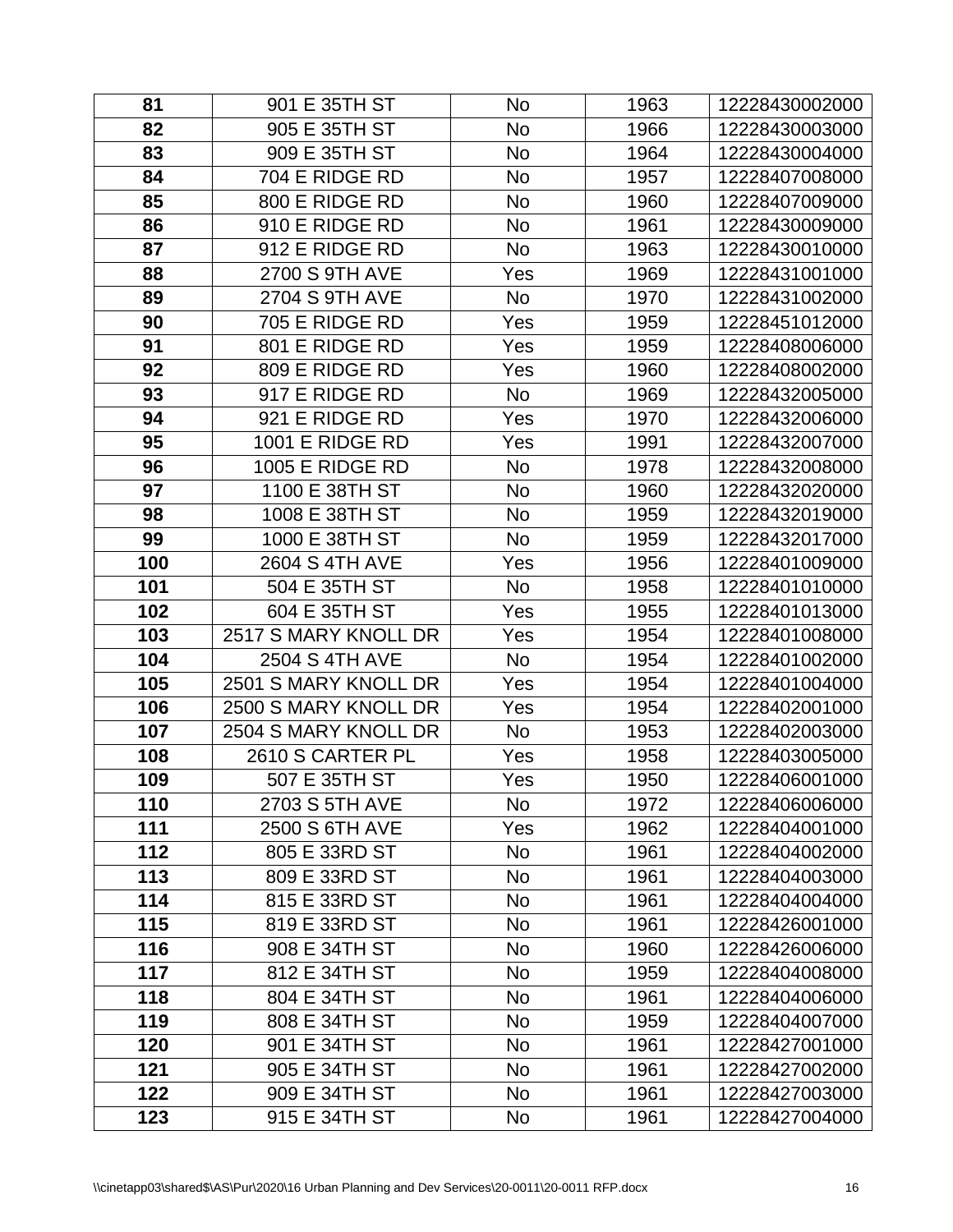| 81  | 901 E 35TH ST          | No             | 1963 | 12228430002000 |
|-----|------------------------|----------------|------|----------------|
| 82  | 905 E 35TH ST          | No             | 1966 | 12228430003000 |
| 83  | 909 E 35TH ST          | No             | 1964 | 12228430004000 |
| 84  | 704 E RIDGE RD         | No             | 1957 | 12228407008000 |
| 85  | 800 E RIDGE RD         | No             | 1960 | 12228407009000 |
| 86  | 910 E RIDGE RD         | No             | 1961 | 12228430009000 |
| 87  | 912 E RIDGE RD         | No             | 1963 | 12228430010000 |
| 88  | 2700 S 9TH AVE         | Yes            | 1969 | 12228431001000 |
| 89  | <b>2704 S 9TH AVE</b>  | No             | 1970 | 12228431002000 |
| 90  | 705 E RIDGE RD         | Yes            | 1959 | 12228451012000 |
| 91  | 801 E RIDGE RD         | Yes            | 1959 | 12228408006000 |
| 92  | 809 E RIDGE RD         | Yes            | 1960 | 12228408002000 |
| 93  | 917 E RIDGE RD         | No             | 1969 | 12228432005000 |
| 94  | 921 E RIDGE RD         | Yes            | 1970 | 12228432006000 |
| 95  | 1001 E RIDGE RD        | Yes            | 1991 | 12228432007000 |
| 96  | <b>1005 E RIDGE RD</b> | No             | 1978 | 12228432008000 |
| 97  | 1100 E 38TH ST         | No             | 1960 | 12228432020000 |
| 98  | 1008 E 38TH ST         | No             | 1959 | 12228432019000 |
| 99  | 1000 E 38TH ST         | <b>No</b>      | 1959 | 12228432017000 |
| 100 | <b>2604 S 4TH AVE</b>  | Yes            | 1956 | 12228401009000 |
| 101 | 504 E 35TH ST          | No             | 1958 | 12228401010000 |
| 102 | 604 E 35TH ST          | Yes            | 1955 | 12228401013000 |
| 103 | 2517 S MARY KNOLL DR   | Yes            | 1954 | 12228401008000 |
| 104 | 2504 S 4TH AVE         | No             | 1954 | 12228401002000 |
| 105 | 2501 S MARY KNOLL DR   | Yes            | 1954 | 12228401004000 |
| 106 | 2500 S MARY KNOLL DR   | Yes            | 1954 | 12228402001000 |
| 107 | 2504 S MARY KNOLL DR   | No             | 1953 | 12228402003000 |
| 108 | 2610 S CARTER PL       | Yes            | 1958 | 12228403005000 |
| 109 | 507 E 35TH ST          | Yes            | 1950 | 12228406001000 |
| 110 | 2703 S 5TH AVE         | No             | 1972 | 12228406006000 |
| 111 | 2500 S 6TH AVE         | Yes            | 1962 | 12228404001000 |
| 112 | 805 E 33RD ST          | <b>No</b>      | 1961 | 12228404002000 |
| 113 | 809 E 33RD ST          | <b>No</b>      | 1961 | 12228404003000 |
| 114 | 815 E 33RD ST          | <b>No</b>      | 1961 | 12228404004000 |
| 115 | 819 E 33RD ST          | No             | 1961 | 12228426001000 |
| 116 | 908 E 34TH ST          | No             | 1960 | 12228426006000 |
| 117 | 812 E 34TH ST          | <b>No</b>      | 1959 | 12228404008000 |
| 118 | 804 E 34TH ST          | N <sub>o</sub> | 1961 | 12228404006000 |
| 119 | 808 E 34TH ST          | <b>No</b>      | 1959 | 12228404007000 |
| 120 | 901 E 34TH ST          | No             | 1961 | 12228427001000 |
| 121 | 905 E 34TH ST          | No             | 1961 | 12228427002000 |
| 122 | 909 E 34TH ST          | <b>No</b>      | 1961 | 12228427003000 |
| 123 | 915 E 34TH ST          | No             | 1961 | 12228427004000 |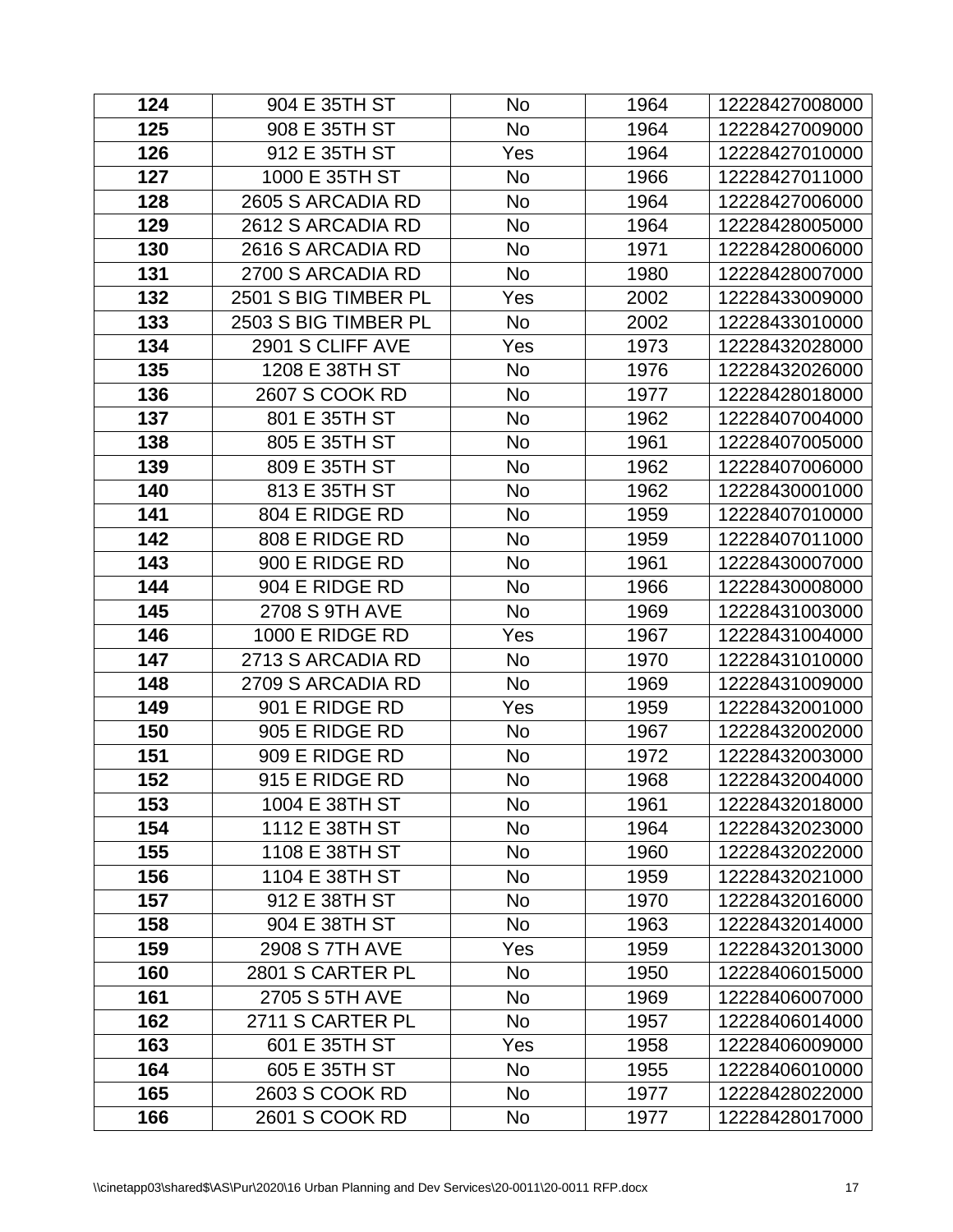| 124 | 904 E 35TH ST          | No        | 1964 | 12228427008000 |
|-----|------------------------|-----------|------|----------------|
| 125 | 908 E 35TH ST          | No        | 1964 | 12228427009000 |
| 126 | 912 E 35TH ST          | Yes       | 1964 | 12228427010000 |
| 127 | 1000 E 35TH ST         | No        | 1966 | 12228427011000 |
| 128 | 2605 S ARCADIA RD      | No        | 1964 | 12228427006000 |
| 129 | 2612 S ARCADIA RD      | No        | 1964 | 12228428005000 |
| 130 | 2616 S ARCADIA RD      | No        | 1971 | 12228428006000 |
| 131 | 2700 S ARCADIA RD      | <b>No</b> | 1980 | 12228428007000 |
| 132 | 2501 S BIG TIMBER PL   | Yes       | 2002 | 12228433009000 |
| 133 | 2503 S BIG TIMBER PL   | No        | 2002 | 12228433010000 |
| 134 | 2901 S CLIFF AVE       | Yes       | 1973 | 12228432028000 |
| 135 | 1208 E 38TH ST         | No        | 1976 | 12228432026000 |
| 136 | 2607 S COOK RD         | No        | 1977 | 12228428018000 |
| 137 | 801 E 35TH ST          | No        | 1962 | 12228407004000 |
| 138 | 805 E 35TH ST          | No        | 1961 | 12228407005000 |
| 139 | 809 E 35TH ST          | No        | 1962 | 12228407006000 |
| 140 | 813 E 35TH ST          | No        | 1962 | 12228430001000 |
| 141 | 804 E RIDGE RD         | No        | 1959 | 12228407010000 |
| 142 | 808 E RIDGE RD         | No        | 1959 | 12228407011000 |
| 143 | 900 E RIDGE RD         | No        | 1961 | 12228430007000 |
| 144 | 904 E RIDGE RD         | No        | 1966 | 12228430008000 |
| 145 | 2708 S 9TH AVE         | No        | 1969 | 12228431003000 |
| 146 | <b>1000 E RIDGE RD</b> | Yes       | 1967 | 12228431004000 |
| 147 | 2713 S ARCADIA RD      | No        | 1970 | 12228431010000 |
| 148 | 2709 S ARCADIA RD      | No        | 1969 | 12228431009000 |
| 149 | 901 E RIDGE RD         | Yes       | 1959 | 12228432001000 |
| 150 | 905 E RIDGE RD         | No        | 1967 | 12228432002000 |
| 151 | 909 E RIDGE RD         | No        | 1972 | 12228432003000 |
| 152 | 915 E RIDGE RD         | No        | 1968 | 12228432004000 |
| 153 | 1004 E 38TH ST         | <b>No</b> | 1961 | 12228432018000 |
| 154 | 1112 E 38TH ST         | <b>No</b> | 1964 | 12228432023000 |
| 155 | 1108 E 38TH ST         | No        | 1960 | 12228432022000 |
| 156 | 1104 E 38TH ST         | <b>No</b> | 1959 | 12228432021000 |
| 157 | 912 E 38TH ST          | <b>No</b> | 1970 | 12228432016000 |
| 158 | 904 E 38TH ST          | No        | 1963 | 12228432014000 |
| 159 | <b>2908 S 7TH AVE</b>  | Yes       | 1959 | 12228432013000 |
| 160 | 2801 S CARTER PL       | <b>No</b> | 1950 | 12228406015000 |
| 161 | 2705 S 5TH AVE         | No        | 1969 | 12228406007000 |
| 162 | 2711 S CARTER PL       | No        | 1957 | 12228406014000 |
| 163 | 601 E 35TH ST          | Yes       | 1958 | 12228406009000 |
| 164 | 605 E 35TH ST          | No        | 1955 | 12228406010000 |
| 165 | 2603 S COOK RD         | <b>No</b> | 1977 | 12228428022000 |
| 166 | 2601 S COOK RD         | No        | 1977 | 12228428017000 |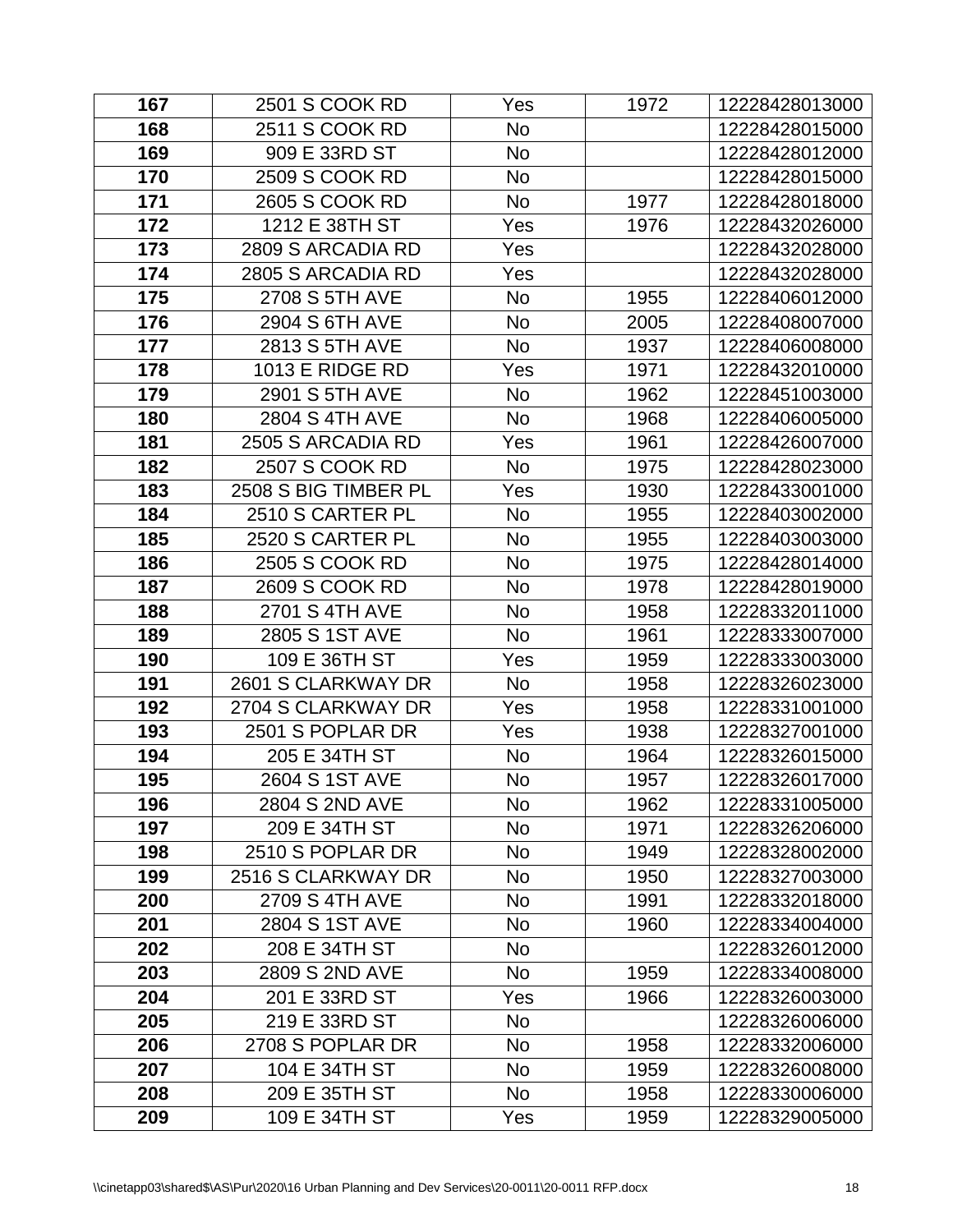| 167 | 2501 S COOK RD         | Yes       | 1972 | 12228428013000 |
|-----|------------------------|-----------|------|----------------|
| 168 | 2511 S COOK RD         | No        |      | 12228428015000 |
| 169 | 909 E 33RD ST          | No        |      | 12228428012000 |
| 170 | 2509 S COOK RD         | No        |      | 12228428015000 |
| 171 | 2605 S COOK RD         | <b>No</b> | 1977 | 12228428018000 |
| 172 | 1212 E 38TH ST         | Yes       | 1976 | 12228432026000 |
| 173 | 2809 S ARCADIA RD      | Yes       |      | 12228432028000 |
| 174 | 2805 S ARCADIA RD      | Yes       |      | 12228432028000 |
| 175 | 2708 S 5TH AVE         | No        | 1955 | 12228406012000 |
| 176 | 2904 S 6TH AVE         | No        | 2005 | 12228408007000 |
| 177 | 2813 S 5TH AVE         | No        | 1937 | 12228406008000 |
| 178 | <b>1013 E RIDGE RD</b> | Yes       | 1971 | 12228432010000 |
| 179 | 2901 S 5TH AVE         | No        | 1962 | 12228451003000 |
| 180 | <b>2804 S 4TH AVE</b>  | No        | 1968 | 12228406005000 |
| 181 | 2505 S ARCADIA RD      | Yes       | 1961 | 12228426007000 |
| 182 | 2507 S COOK RD         | No        | 1975 | 12228428023000 |
| 183 | 2508 S BIG TIMBER PL   | Yes       | 1930 | 12228433001000 |
| 184 | 2510 S CARTER PL       | No        | 1955 | 12228403002000 |
| 185 | 2520 S CARTER PL       | <b>No</b> | 1955 | 12228403003000 |
| 186 | 2505 S COOK RD         | No        | 1975 | 12228428014000 |
| 187 | 2609 S COOK RD         | No        | 1978 | 12228428019000 |
| 188 | 2701 S 4TH AVE         | No        | 1958 | 12228332011000 |
| 189 | 2805 S 1ST AVE         | No        | 1961 | 12228333007000 |
| 190 | 109 E 36TH ST          | Yes       | 1959 | 12228333003000 |
| 191 | 2601 S CLARKWAY DR     | No        | 1958 | 12228326023000 |
| 192 | 2704 S CLARKWAY DR     | Yes       | 1958 | 12228331001000 |
| 193 | 2501 S POPLAR DR       | Yes       | 1938 | 12228327001000 |
| 194 | 205 E 34TH ST          | No        | 1964 | 12228326015000 |
| 195 | 2604 S 1ST AVE         | No        | 1957 | 12228326017000 |
| 196 | 2804 S 2ND AVE         | No        | 1962 | 12228331005000 |
| 197 | 209 E 34TH ST          | No        | 1971 | 12228326206000 |
| 198 | 2510 S POPLAR DR       | No        | 1949 | 12228328002000 |
| 199 | 2516 S CLARKWAY DR     | <b>No</b> | 1950 | 12228327003000 |
| 200 | 2709 S 4TH AVE         | <b>No</b> | 1991 | 12228332018000 |
| 201 | 2804 S 1ST AVE         | No        | 1960 | 12228334004000 |
| 202 | 208 E 34TH ST          | <b>No</b> |      | 12228326012000 |
| 203 | 2809 S 2ND AVE         | No        | 1959 | 12228334008000 |
| 204 | 201 E 33RD ST          | Yes       | 1966 | 12228326003000 |
| 205 | 219 E 33RD ST          | No        |      | 12228326006000 |
| 206 | 2708 S POPLAR DR       | No        | 1958 | 12228332006000 |
| 207 | 104 E 34TH ST          | <b>No</b> | 1959 | 12228326008000 |
| 208 | 209 E 35TH ST          | No        | 1958 | 12228330006000 |
| 209 | 109 E 34TH ST          | Yes       | 1959 | 12228329005000 |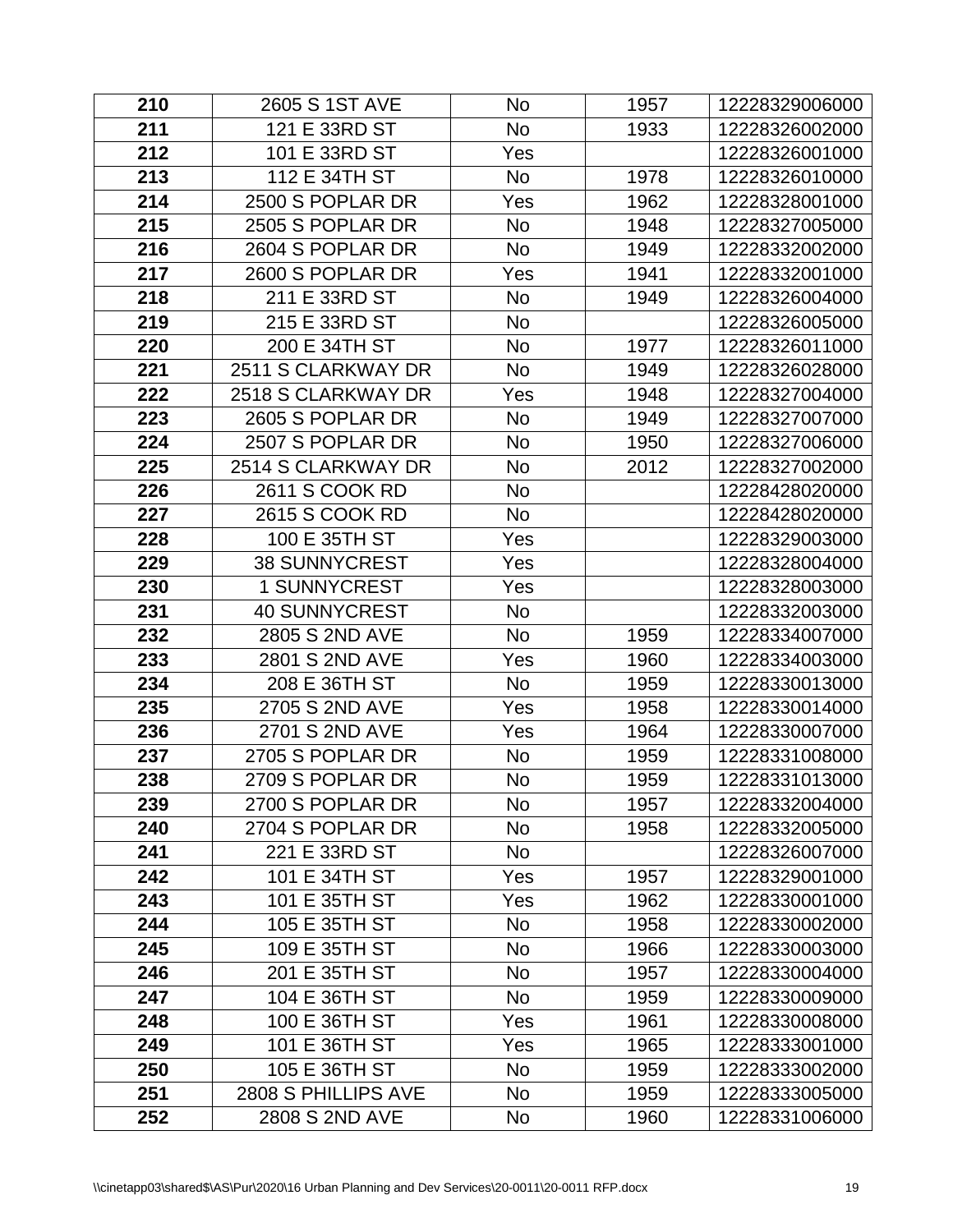| 210 | 2605 S 1ST AVE       | <b>No</b> | 1957 | 12228329006000 |
|-----|----------------------|-----------|------|----------------|
| 211 | 121 E 33RD ST        | <b>No</b> | 1933 | 12228326002000 |
| 212 | 101 E 33RD ST        | Yes       |      | 12228326001000 |
| 213 | 112 E 34TH ST        | No        | 1978 | 12228326010000 |
| 214 | 2500 S POPLAR DR     | Yes       | 1962 | 12228328001000 |
| 215 | 2505 S POPLAR DR     | No        | 1948 | 12228327005000 |
| 216 | 2604 S POPLAR DR     | No        | 1949 | 12228332002000 |
| 217 | 2600 S POPLAR DR     | Yes       | 1941 | 12228332001000 |
| 218 | 211 E 33RD ST        | No        | 1949 | 12228326004000 |
| 219 | 215 E 33RD ST        | No        |      | 12228326005000 |
| 220 | 200 E 34TH ST        | No        | 1977 | 12228326011000 |
| 221 | 2511 S CLARKWAY DR   | <b>No</b> | 1949 | 12228326028000 |
| 222 | 2518 S CLARKWAY DR   | Yes       | 1948 | 12228327004000 |
| 223 | 2605 S POPLAR DR     | No        | 1949 | 12228327007000 |
| 224 | 2507 S POPLAR DR     | No        | 1950 | 12228327006000 |
| 225 | 2514 S CLARKWAY DR   | No        | 2012 | 12228327002000 |
| 226 | 2611 S COOK RD       | No        |      | 12228428020000 |
| 227 | 2615 S COOK RD       | No        |      | 12228428020000 |
| 228 | 100 E 35TH ST        | Yes       |      | 12228329003000 |
| 229 | <b>38 SUNNYCREST</b> | Yes       |      | 12228328004000 |
| 230 | <b>1 SUNNYCREST</b>  | Yes       |      | 12228328003000 |
| 231 | <b>40 SUNNYCREST</b> | No        |      | 12228332003000 |
| 232 | 2805 S 2ND AVE       | No        | 1959 | 12228334007000 |
| 233 | 2801 S 2ND AVE       | Yes       | 1960 | 12228334003000 |
| 234 | 208 E 36TH ST        | No        | 1959 | 12228330013000 |
| 235 | 2705 S 2ND AVE       | Yes       | 1958 | 12228330014000 |
| 236 | 2701 S 2ND AVE       | Yes       | 1964 | 12228330007000 |
| 237 | 2705 S POPLAR DR     | No        | 1959 | 12228331008000 |
| 238 | 2709 S POPLAR DR     | No        | 1959 | 12228331013000 |
| 239 | 2700 S POPLAR DR     | <b>No</b> | 1957 | 12228332004000 |
| 240 | 2704 S POPLAR DR     | <b>No</b> | 1958 | 12228332005000 |
| 241 | 221 E 33RD ST        | No        |      | 12228326007000 |
| 242 | 101 E 34TH ST        | Yes       | 1957 | 12228329001000 |
| 243 | 101 E 35TH ST        | Yes       | 1962 | 12228330001000 |
| 244 | 105 E 35TH ST        | No        | 1958 | 12228330002000 |
| 245 | 109 E 35TH ST        | No        | 1966 | 12228330003000 |
| 246 | 201 E 35TH ST        | <b>No</b> | 1957 | 12228330004000 |
| 247 | 104 E 36TH ST        | <b>No</b> | 1959 | 12228330009000 |
| 248 | 100 E 36TH ST        | Yes       | 1961 | 12228330008000 |
| 249 | 101 E 36TH ST        | Yes       | 1965 | 12228333001000 |
| 250 | 105 E 36TH ST        | <b>No</b> | 1959 | 12228333002000 |
| 251 | 2808 S PHILLIPS AVE  | No        | 1959 | 12228333005000 |
| 252 | 2808 S 2ND AVE       | No        | 1960 | 12228331006000 |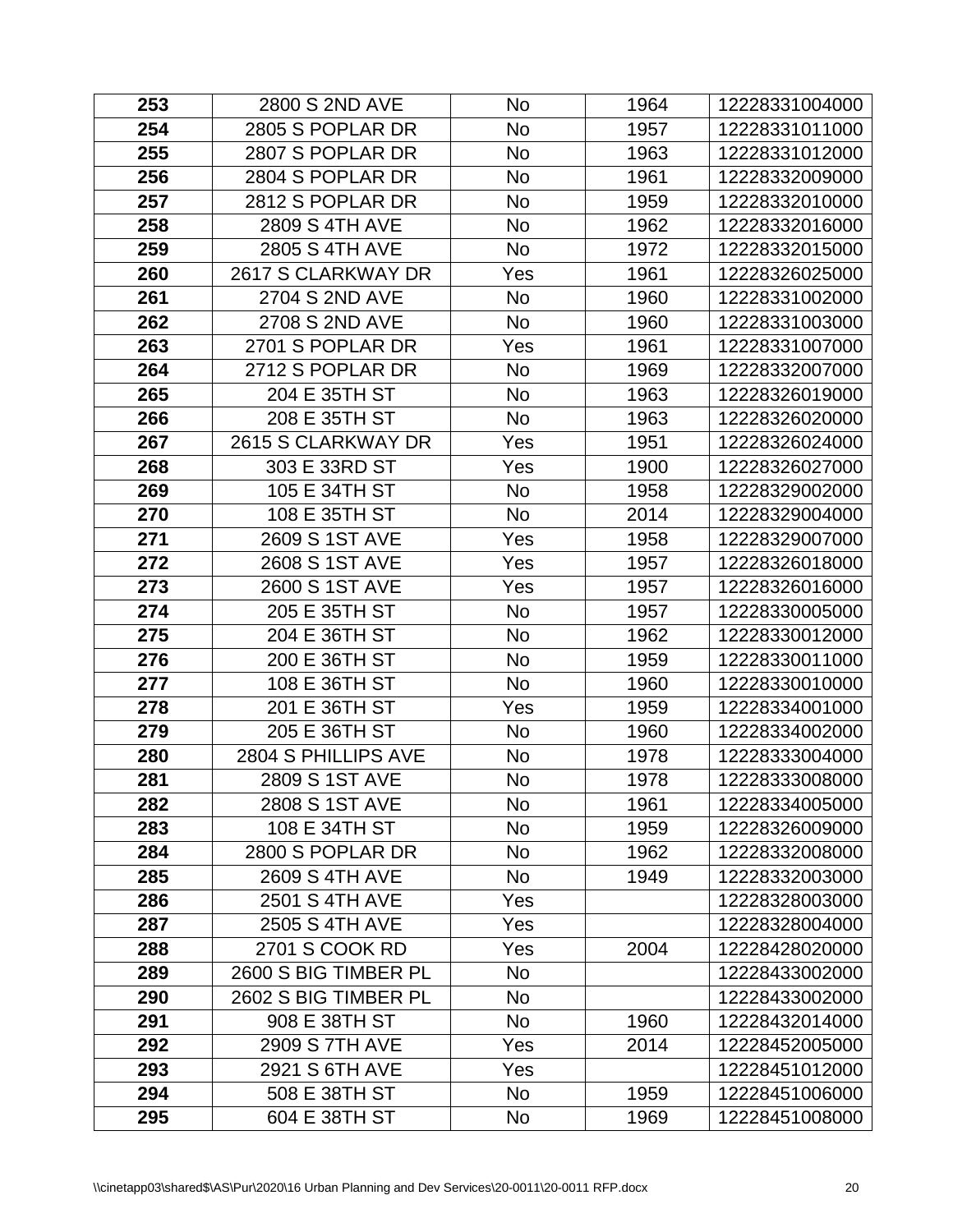| 253 | 2800 S 2ND AVE        | No        | 1964 | 12228331004000 |
|-----|-----------------------|-----------|------|----------------|
| 254 | 2805 S POPLAR DR      | No        | 1957 | 12228331011000 |
| 255 | 2807 S POPLAR DR      | No        | 1963 | 12228331012000 |
| 256 | 2804 S POPLAR DR      | No        | 1961 | 12228332009000 |
| 257 | 2812 S POPLAR DR      | No        | 1959 | 12228332010000 |
| 258 | 2809 S 4TH AVE        | No        | 1962 | 12228332016000 |
| 259 | 2805 S 4TH AVE        | No        | 1972 | 12228332015000 |
| 260 | 2617 S CLARKWAY DR    | Yes       | 1961 | 12228326025000 |
| 261 | <b>2704 S 2ND AVE</b> | No        | 1960 | 12228331002000 |
| 262 | <b>2708 S 2ND AVE</b> | No        | 1960 | 12228331003000 |
| 263 | 2701 S POPLAR DR      | Yes       | 1961 | 12228331007000 |
| 264 | 2712 S POPLAR DR      | No        | 1969 | 12228332007000 |
| 265 | 204 E 35TH ST         | No        | 1963 | 12228326019000 |
| 266 | 208 E 35TH ST         | No        | 1963 | 12228326020000 |
| 267 | 2615 S CLARKWAY DR    | Yes       | 1951 | 12228326024000 |
| 268 | 303 E 33RD ST         | Yes       | 1900 | 12228326027000 |
| 269 | 105 E 34TH ST         | No        | 1958 | 12228329002000 |
| 270 | 108 E 35TH ST         | No        | 2014 | 12228329004000 |
| 271 | 2609 S 1ST AVE        | Yes       | 1958 | 12228329007000 |
| 272 | 2608 S 1ST AVE        | Yes       | 1957 | 12228326018000 |
| 273 | 2600 S 1ST AVE        | Yes       | 1957 | 12228326016000 |
| 274 | 205 E 35TH ST         | No        | 1957 | 12228330005000 |
| 275 | 204 E 36TH ST         | No        | 1962 | 12228330012000 |
| 276 | 200 E 36TH ST         | No        | 1959 | 12228330011000 |
| 277 | 108 E 36TH ST         | No        | 1960 | 12228330010000 |
| 278 | 201 E 36TH ST         | Yes       | 1959 | 12228334001000 |
| 279 | 205 E 36TH ST         | No        | 1960 | 12228334002000 |
| 280 | 2804 S PHILLIPS AVE   | No        | 1978 | 12228333004000 |
| 281 | 2809 S 1ST AVE        | No        | 1978 | 12228333008000 |
| 282 | 2808 S 1ST AVE        | No.       | 1961 | 12228334005000 |
| 283 | 108 E 34TH ST         | No        | 1959 | 12228326009000 |
| 284 | 2800 S POPLAR DR      | No        | 1962 | 12228332008000 |
| 285 | <b>2609 S 4TH AVE</b> | No        | 1949 | 12228332003000 |
| 286 | <b>2501 S 4TH AVE</b> | Yes       |      | 12228328003000 |
| 287 | <b>2505 S 4TH AVE</b> | Yes       |      | 12228328004000 |
| 288 | 2701 S COOK RD        | Yes       | 2004 | 12228428020000 |
| 289 | 2600 S BIG TIMBER PL  | No        |      | 12228433002000 |
| 290 | 2602 S BIG TIMBER PL  | <b>No</b> |      | 12228433002000 |
| 291 | 908 E 38TH ST         | <b>No</b> | 1960 | 12228432014000 |
| 292 | 2909 S 7TH AVE        | Yes       | 2014 | 12228452005000 |
| 293 | 2921 S 6TH AVE        | Yes       |      | 12228451012000 |
| 294 | 508 E 38TH ST         | No        | 1959 | 12228451006000 |
| 295 | 604 E 38TH ST         | No        | 1969 | 12228451008000 |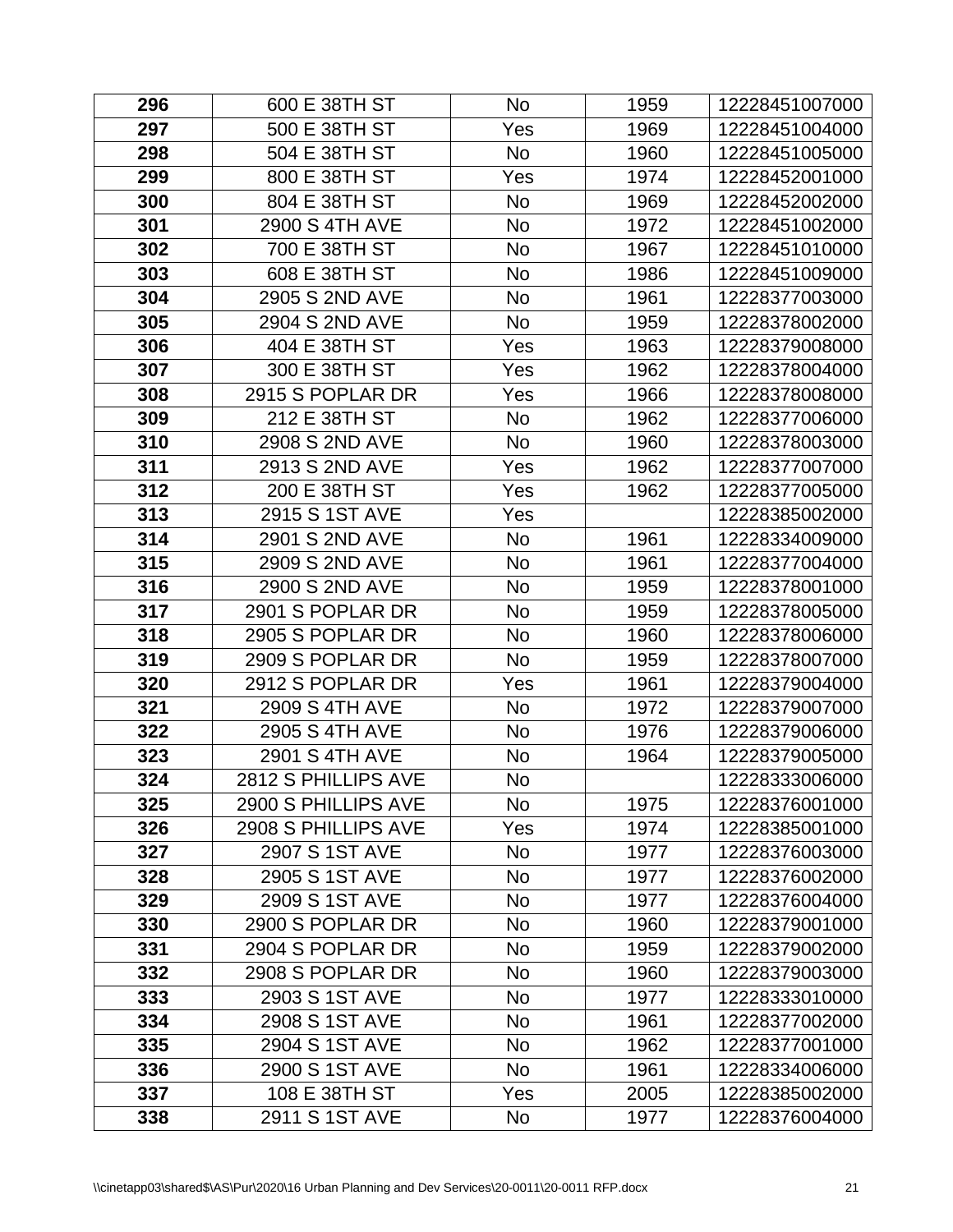| 296 | 600 E 38TH ST         | No        | 1959 | 12228451007000 |
|-----|-----------------------|-----------|------|----------------|
| 297 | 500 E 38TH ST         | Yes       | 1969 | 12228451004000 |
| 298 | 504 E 38TH ST         | No        | 1960 | 12228451005000 |
| 299 | 800 E 38TH ST         | Yes       | 1974 | 12228452001000 |
| 300 | 804 E 38TH ST         | No        | 1969 | 12228452002000 |
| 301 | <b>2900 S 4TH AVE</b> | No        | 1972 | 12228451002000 |
| 302 | 700 E 38TH ST         | No        | 1967 | 12228451010000 |
| 303 | 608 E 38TH ST         | No        | 1986 | 12228451009000 |
| 304 | 2905 S 2ND AVE        | No        | 1961 | 12228377003000 |
| 305 | 2904 S 2ND AVE        | No        | 1959 | 12228378002000 |
| 306 | 404 E 38TH ST         | Yes       | 1963 | 12228379008000 |
| 307 | 300 E 38TH ST         | Yes       | 1962 | 12228378004000 |
| 308 | 2915 S POPLAR DR      | Yes       | 1966 | 12228378008000 |
| 309 | 212 E 38TH ST         | No        | 1962 | 12228377006000 |
| 310 | 2908 S 2ND AVE        | <b>No</b> | 1960 | 12228378003000 |
| 311 | 2913 S 2ND AVE        | Yes       | 1962 | 12228377007000 |
| 312 | 200 E 38TH ST         | Yes       | 1962 | 12228377005000 |
| 313 | 2915 S 1ST AVE        | Yes       |      | 12228385002000 |
| 314 | 2901 S 2ND AVE        | No        | 1961 | 12228334009000 |
| 315 | 2909 S 2ND AVE        | No        | 1961 | 12228377004000 |
| 316 | 2900 S 2ND AVE        | No        | 1959 | 12228378001000 |
| 317 | 2901 S POPLAR DR      | No        | 1959 | 12228378005000 |
| 318 | 2905 S POPLAR DR      | No        | 1960 | 12228378006000 |
| 319 | 2909 S POPLAR DR      | No        | 1959 | 12228378007000 |
| 320 | 2912 S POPLAR DR      | Yes       | 1961 | 12228379004000 |
| 321 | <b>2909 S 4TH AVE</b> | No        | 1972 | 12228379007000 |
| 322 | 2905 S 4TH AVE        | No        | 1976 | 12228379006000 |
| 323 | 2901 S 4TH AVE        | No        | 1964 | 12228379005000 |
| 324 | 2812 S PHILLIPS AVE   | No        |      | 12228333006000 |
| 325 | 2900 S PHILLIPS AVE   | No        | 1975 | 12228376001000 |
| 326 | 2908 S PHILLIPS AVE   | Yes       | 1974 | 12228385001000 |
| 327 | 2907 S 1ST AVE        | <b>No</b> | 1977 | 12228376003000 |
| 328 | 2905 S 1ST AVE        | <b>No</b> | 1977 | 12228376002000 |
| 329 | 2909 S 1ST AVE        | <b>No</b> | 1977 | 12228376004000 |
| 330 | 2900 S POPLAR DR      | No        | 1960 | 12228379001000 |
| 331 | 2904 S POPLAR DR      | No        | 1959 | 12228379002000 |
| 332 | 2908 S POPLAR DR      | <b>No</b> | 1960 | 12228379003000 |
| 333 | 2903 S 1ST AVE        | <b>No</b> | 1977 | 12228333010000 |
| 334 | 2908 S 1ST AVE        | <b>No</b> | 1961 | 12228377002000 |
| 335 | 2904 S 1ST AVE        | No        | 1962 | 12228377001000 |
| 336 | 2900 S 1ST AVE        | No        | 1961 | 12228334006000 |
| 337 | 108 E 38TH ST         | Yes       | 2005 | 12228385002000 |
| 338 | 2911 S 1ST AVE        | <b>No</b> | 1977 | 12228376004000 |